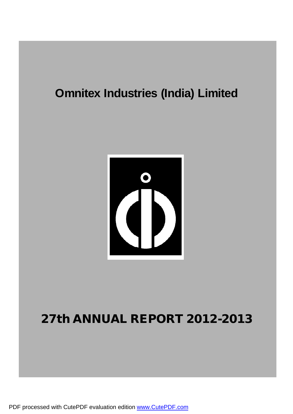

# **27th ANNUAL REPORT 2012-2013**

PDF processed with CutePDF evaluation edition [www.CutePDF.com](http://www.cutepdf.com)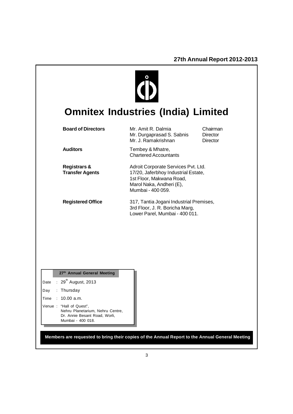

| <b>Board of Directors</b>                         | Mr. Amit R. Dalmia<br>Mr. Durgaprasad S. Sabnis<br>Mr. J. Ramakrishnan                                                                                  | Chairman<br>Director<br>Director |  |  |
|---------------------------------------------------|---------------------------------------------------------------------------------------------------------------------------------------------------------|----------------------------------|--|--|
| <b>Auditors</b>                                   | Tembey & Mhatre,<br><b>Chartered Accountants</b>                                                                                                        |                                  |  |  |
| <b>Registrars &amp;</b><br><b>Transfer Agents</b> | Adroit Corporate Services Pvt. Ltd.<br>17/20, Jaferbhoy Industrial Estate,<br>1st Floor, Makwana Road,<br>Marol Naka, Andheri (E),<br>Mumbai - 400 059. |                                  |  |  |
| <b>Registered Office</b>                          | 317, Tantia Jogani Industrial Premises,<br>3rd Floor, J. R. Boricha Marg,<br>Lower Parel, Mumbai - 400 011.                                             |                                  |  |  |

#### **27th Annual General Meeting**

- Date :  $29^{th}$  August, 2013
- Day : Thursday
- Time : 10.00 a.m.
- Venue : "Hall of Quest", Nehru Planetarium, Nehru Centre, Dr. Annie Besant Road, Worli, Mumbai - 400 018.

**Members are requested to bring their copies of the Annual Report to the Annual General Meeting**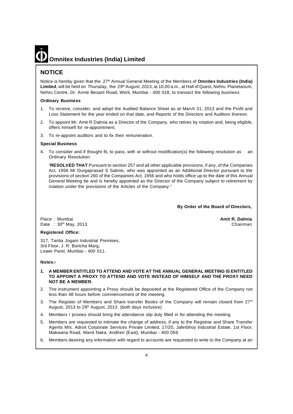### **NOTICE**

Notice is hereby given that the 27<sup>th</sup> Annual General Meeting of the Members of **Omnitex Industries (India)** Limited, will be held on Thursday, the 29<sup>th</sup> August, 2013, at 10.00 a.m., at Hall of Quest, Nehru Planetarium, Nehru Centre, Dr. Annie Besant Road, Worli, Mumbai - 400 018, to transact the following business:

#### **Ordinary Business**

- 1. To receive, consider, and adopt the Audited Balance Sheet as at March 31, 2013 and the Profit and Loss Statement for the year ended on that date, and Reports of the Directors and Auditors thereon.
- 2. To appoint Mr. Amit R Dalmia as a Director of the Company, who retires by rotation and, being eligible, offers himself for re-appointment.
- 3. To re-appoint auditors and to fix their remuneration.

#### **Special Business**

4. To consider and if thought fit, to pass, with or without modification(s) the following resolution as an Ordinary Resolution:

"**RESOLVED THAT** Pursuant to section 257 and all other applicable provisions, if any, of the Companies Act, 1956 Mr Durgaprasad S Sabnis, who was appointed as an Additional Director pursuant to the provisions of section 260 of the Companies Act, 1956 and who holds office up-to the date of this Annual General Meeting be and is hereby appointed as the Director of the Company subject to retirement by rotation under the provisions of the Articles of the Company."

**By Order of the Board of Directors,**

Place : Mumbai **Amit R. Dalmia** Date :  $30<sup>th</sup>$  May, 2013

#### **Registered Office:**

317, Tantia Jogani Industrial Premises, 3rd Floor, J. R. Boricha Marg, Lower Parel, Mumbai - 400 011.

#### **Notes:-**

- **1. A MEMBER ENTITLED TO ATTEND AND VOTE AT THE ANNUAL GENERAL MEETING IS ENTITLED TO APPOINT A PROXY TO ATTEND AND VOTE INSTEAD OF HIMSELF AND THE PROXY NEED NOT BE A MEMBER.**
- 2. The instrument appointing a Proxy should be deposited at the Registered Office of the Company not less than 48 hours before commencement of the meeting.
- 3. The Register of Members and Share transfer Books of the Company will remain closed from  $27<sup>th</sup>$ August, 2013 to  $29<sup>th</sup>$  August, 2013 (both days inclusive)
- 4. Members / proxies should bring the attendance slip duly filled in for attending the meeting.
- 5. Members are requested to intimate the change of address, if any to the Registrar and Share Transfer Agents M/s. Adroit Corporate Services Private Limited, 17/20, Jaferbhoy Industrial Estate, 1st Floor, Makwana Road, Marol Naka, Andheri (East), Mumbai - 400 059.
- 6. Members desiring any information with regard to accounts are requested to write to the Company at an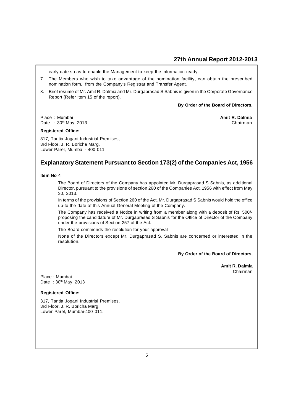early date so as to enable the Management to keep the information ready.

- 7. The Members who wish to take advantage of the nomination facility, can obtain the prescribed nomination form, from the Company's Registrar and Transfer Agent.
- 8. Brief resume of Mr. Amit R. Dalmia and Mr. Durgaprasad S Sabnis is given in the Corporate Governance Report (Refer Item 15 of the report).

**By Order of the Board of Directors,**

Place : Mumbai **Amit R. Dalmia** Date : 30<sup>th</sup> May, 2013. Chairman and the study of the study of the study of the study of the study of the study of the study of the study of the study of the study of the study of the study of the study of the study of th

#### **Registered Office:**

317, Tantia Jogani Industrial Premises, 3rd Floor, J. R. Boricha Marg, Lower Parel, Mumbai - 400 011.

#### **Explanatory Statement Pursuant to Section 173(2) of the Companies Act, 1956**

#### **Item No 4**

The Board of Directors of the Company has appointed Mr. Durgaprasad S Sabnis, as additional Director, pursuant to the provisions of section 260 of the Companies Act, 1956 with effect from May 30, 2013.

In terms of the provisions of Section 260 of the Act, Mr. Durgaprasad S Sabnis would hold the office up-to the date of this Annual General Meeting of the Company.

The Company has received a Notice in writing from a member along with a deposit of Rs. 500/ proposing the candidature of Mr. Durgaprasad S Sabnis for the Office of Director of the Company under the provisions of Section 257 of the Act.

The Board commends the resolution for your approval

None of the Directors except Mr. Durgaprasad S. Sabnis are concerned or interested in the resolution.

**By Order of the Board of Directors,**

**Amit R. Dalmia** Chairman

Place : Mumbai Date:  $30<sup>th</sup>$  May, 2013

#### **Registered Office:**

317, Tantia Jogani Industrial Premises, 3rd Floor, J. R. Boricha Marg, Lower Parel, Mumbai-400 011.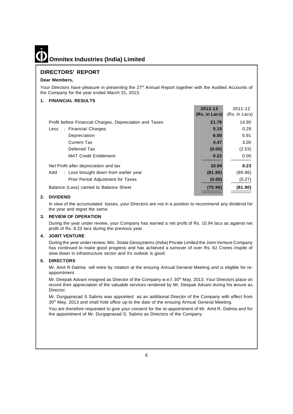#### **DIRECTORS' REPORT**

#### **Dear Members,**

Your Directors have pleasure in presenting the 27<sup>th</sup> Annual Report together with the Audited Accounts of the Company for the year ended March 31, 2013.

#### **1. FINANCIAL RESULTS**

|                                                         | 2012-13<br>(Rs. in Lacs) | 2011-12<br>(Rs. in Lacs) |
|---------------------------------------------------------|--------------------------|--------------------------|
| Profit before Financial Charges, Depreciation and Taxes | 21.78                    | 14.90                    |
| : Financial Charges<br>Less                             | 0.15                     | 0.29                     |
| Depreciation                                            | 6.00                     | 5.91                     |
| Current Tax                                             | 4.47                     | 3.00                     |
| Deferred Tax                                            | (0.00)                   | (2.53)                   |
| <b>MAT Credit Entitlement</b>                           | 0.22                     | 0.00                     |
| Net Profit after depreciation and tax                   | 10.94                    | 8.23                     |
| : Loss brought down from earlier year<br>Add            | (81.90)                  | (89.86)                  |
| Prior Period Adjustment for Taxes                       | (0.00)                   | (0.27)                   |
| Balance (Loss) carried to Balance Sheet                 | (70.96)                  | (81.90)                  |

#### **2. DIVIDEND**

In view of the accumulated losses, your Directors are not in a position to recommend any dividend for the year and regret the same.

#### **3. REVIEW OF OPERATION**

During the year under review, your Company has earned a net profit of Rs. 10.94 lacs as against net profit of Rs. 8.23 lacs during the previous year.

#### **4. JOINT VENTURE**

During the year under review, M/s. Strata Geosystems (India) Private Limited the Joint Venture Company has continued to make good progress and has achieved a turnover of over Rs. 62 Crores inspite of slow down in infrastructure sector and it's outlook is good.

#### **5. DIRECTORS**

Mr. Amit R Dalmia will retire by rotation at the ensuing Annual General Meeting and is eligible for reappointment.

Mr. Deepak Advani resigned as Director of the Company w.e.f. 30<sup>th</sup> May, 2013. Your Directors place on record their appreciation of the valuable services rendered by Mr. Deepak Advani during his tenure as Director.

Mr. Durgaprasad S Sabnis was appointed as an additional Director of the Company with effect from 30<sup>th</sup> May, 2013 and shall hold office up-to the date of the ensuing Annual General Meeting.

You are therefore requested to give your consent for the re-appointment of Mr. Amit R. Dalmia and for the appointment of Mr. Durgaprasad S. Sabnis as Directors of the Company.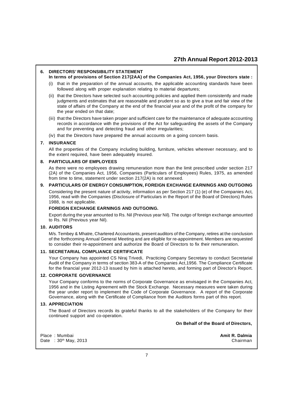#### **6. DIRECTORS' RESPONSIBILITY STATEMENT**

- **In terms of provisions of Section 217(2AA) of the Companies Act, 1956, your Directors state :**
- (i) that in the preparation of the annual accounts, the applicable accounting standards have been followed along with proper explanation relating to material departures;
- (ii) that the Directors have selected such accounting policies and applied them consistently and made judgments and estimates that are reasonable and prudent so as to give a true and fair view of the state of affairs of the Company at the end of the financial year and of the profit of the company for the year ended on that date;
- (iii) that the Directors have taken proper and sufficient care for the maintenance of adequate accounting records in accordance with the provisions of the Act for safeguarding the assets of the Company and for preventing and detecting fraud and other irregularities;
- (iv) that the Directors have prepared the annual accounts on a going concern basis.

#### **7. INSURANCE**

All the properties of the Company including building, furniture, vehicles wherever necessary, and to the extent required, have been adequately insured.

#### **8. PARTICULARS OF EMPLOYEES**

As there were no employees drawing remuneration more than the limit prescribed under section 217 (2A) of the Companies Act, 1956, Companies (Particulars of Employees) Rules, 1975, as amended from time to time, statement under section 217(2A) is not annexed.

**9. PARTICULARS OF ENERGY CONSUMPTION, FOREIGN EXCHANGE EARNINGS AND OUTGOING** Considering the present nature of activity, information as per Section 217 (1) (e) of the Companies Act, 1956, read with the Companies (Disclosure of Particulars in the Report of the Board of Directors) Rules 1988, is not applicable.

#### **FOREIGN EXCHANGE EARNINGS AND OUTGOING.**

Export during the year amounted to Rs. Nil (Previous year Nil). The outgo of foreign exchange amounted to Rs. Nil (Previous year Nil).

#### **10. AUDITORS**

M/s. Tembey & Mhatre, Chartered Accountants, present auditors of the Company, retires at the conclusion of the forthcoming Annual General Meeting and are eligible for re-appointment. Members are requested to consider their re-appointment and authorize the Board of Directors to fix their remuneration.

#### **11. SECRETARIAL COMPLIANCE CERTIFICATE**

Your Company has appointed CS Niraj Trivedi, Practicing Company Secretary to conduct Secretarial Audit of the Company in terms of section 383-A of the Companies Act,1956. The Compliance Certificate for the financial year 2012-13 issued by him is attached hereto, and forming part of Director's Report.

#### **12. CORPORATE GOVERNANCE**

Your Company conforms to the norms of Corporate Governance as envisaged in the Companies Act, 1956 and in the Listing Agreement with the Stock Exchange. Necessary measures were taken during the year under report to implement the Code of Corporate Governance. A report of the Corporate Governance, along with the Certificate of Compliance from the Auditors forms part of this report.

#### **13. APPRECIATION**

The Board of Directors records its grateful thanks to all the stakeholders of the Company for their continued support and co-operation.

#### **On Behalf of the Board of Directors,**

Place : Mumbai **Amit R. Dalmia** Date : 30<sup>th</sup> May, 2013 **Chairman**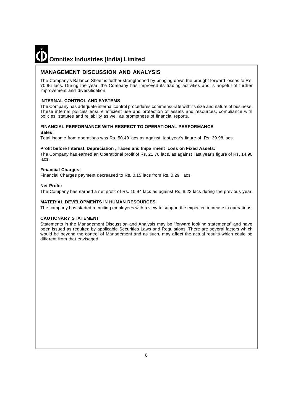

#### **MANAGEMENT DISCUSSION AND ANALYSIS**

The Company's Balance Sheet is further strengthened by bringing down the brought forward losses to Rs. 70.96 lacs. During the year, the Company has improved its trading activities and is hopeful of further improvement and diversification.

#### **INTERNAL CONTROL AND SYSTEMS**

The Company has adequate internal control procedures commensurate with its size and nature of business. These internal policies ensure efficient use and protection of assets and resources, compliance with policies, statutes and reliability as well as promptness of financial reports.

#### **FINANCIAL PERFORMANCE WITH RESPECT TO OPERATIONAL PERFORMANCE Sales:**

Total income from operations was Rs. 50.49 lacs as against last year's figure of Rs. 39.98 lacs.

#### **Profit before Interest, Depreciation , Taxes and Impairment Loss on Fixed Assets:**

The Company has earned an Operational profit of Rs. 21.78 lacs, as against last year's figure of Rs. 14.90 lacs.

#### **Financial Charges:**

Financial Charges payment decreased to Rs. 0.15 lacs from Rs. 0.29 lacs.

#### **Net Profit:**

The Company has earned a net profit of Rs. 10.94 lacs as against Rs. 8.23 lacs during the previous year.

#### **MATERIAL DEVELOPMENTS IN HUMAN RESOURCES**

The company has started recruiting employees with a view to support the expected increase in operations.

#### **CAUTIONARY STATEMENT**

Statements in the Management Discussion and Analysis may be "forward looking statements" and have been issued as required by applicable Securities Laws and Regulations. There are several factors which would be beyond the control of Management and as such, may affect the actual results which could be different from that envisaged.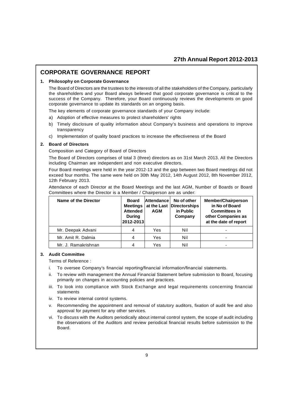#### **CORPORATE GOVERNANCE REPORT**

#### **1. Philosophy on Corporate Governance**

The Board of Directors are the trustees to the interests of all the stakeholders of the Company, particularly the shareholders and your Board always believed that good corporate governance is critical to the success of the Company. Therefore, your Board continuously reviews the developments on good corporate governance to update its standards on an ongoing basis.

The key elements of corporate governance standards of your Company include:

a) Adoption of effective measures to protect shareholders' rights

- b) Timely disclosure of quality information about Company's business and operations to improve transparency
- c) Implementation of quality board practices to increase the effectiveness of the Board

#### **2. Board of Directors**

Composition and Category of Board of Directors

The Board of Directors comprises of total 3 (three) directors as on 31st March 2013. All the Directors including Chairman are independent and non executive directors.

Four Board meetings were held in the year 2012-13 and the gap between two Board meetings did not exceed four months. The same were held on 30th May 2012, 14th August 2012, 8th November 2012, 12th February 2013.

Attendance of each Director at the Board Meetings and the last AGM, Number of Boards or Board Committees where the Director is a Member / Chairperson are as under:

| Name of the Director | <b>Board</b><br><b>Meetings</b><br><b>Attended</b><br><b>During</b><br>2012-2013 | Attendance<br><b>AGM</b> | No of other<br>at the Last Directorships<br>in Public<br>Company | <b>Member/Chairperson</b><br>in No of Board<br><b>Committees in</b><br>other Companies as<br>at the date of report |
|----------------------|----------------------------------------------------------------------------------|--------------------------|------------------------------------------------------------------|--------------------------------------------------------------------------------------------------------------------|
| Mr. Deepak Advani    | 4                                                                                | Yes                      | Nil                                                              |                                                                                                                    |
| Mr. Amit R. Dalmia   | 4                                                                                | Yes                      | Nil                                                              |                                                                                                                    |
| Mr. J. Ramakrishnan  |                                                                                  | Yes                      | Nil                                                              |                                                                                                                    |

#### **3. Audit Committee**

Terms of Reference :

- i. To oversee Company's financial reporting/financial information/financial statements.
- ii. To review with management the Annual Financial Statement before submission to Board, focusing primarily on changes in accounting policies and practices.
- iii. To look into compliance with Stock Exchange and legal requirements concerning financial statements
- iv. To review internal control systems.
- v. Recommending the appointment and removal of statutory auditors, fixation of audit fee and also approval for payment for any other services.
- vi. To discuss with the Auditors periodically about internal control system, the scope of audit including the observations of the Auditors and review periodical financial results before submission to the Board.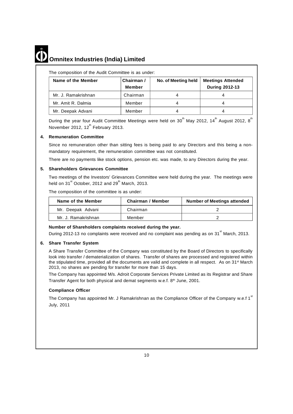

| THE COMPOSITION OF THE AUGHT COMMITTEE IS AS UNIQUE. |                      |                     |                                                   |  |  |  |
|------------------------------------------------------|----------------------|---------------------|---------------------------------------------------|--|--|--|
| Name of the Member                                   | Chairman /<br>Member | No. of Meeting held | <b>Meetings Attended</b><br><b>During 2012-13</b> |  |  |  |
| Mr. J. Ramakrishnan                                  | Chairman             | 4                   |                                                   |  |  |  |
| Mr. Amit R. Dalmia                                   | Member               | 4                   |                                                   |  |  |  |
| Mr. Deepak Advani                                    | Member               | 4                   |                                                   |  |  |  |

The composition of the Audit Committee is as under:

During the year four Audit Committee Meetings were held on  $30<sup>th</sup>$  May 2012, 14<sup>th</sup> August 2012, 8<sup>th</sup> November 2012,  $12^{th}$  February 2013.

#### **4. Remuneration Committee**

Since no remuneration other than sitting fees is being paid to any Directors and this being a nonmandatory requirement, the remuneration committee was not constituted.

There are no payments like stock options, pension etc. was made, to any Directors during the year.

#### **5. Shareholders Grievances Committee**

Two meetings of the Investors' Grievances Committee were held during the year. The meetings were held on  $31<sup>st</sup>$  October, 2012 and 29<sup>th</sup> March, 2013.

The composition of the committee is as under:

| <b>Chairman / Member</b><br>Name of the Member |          | <b>Number of Meetings attended</b> |
|------------------------------------------------|----------|------------------------------------|
| Mr. Deepak Advani                              | Chairman |                                    |
| Mr. J. Ramakrishnan                            | Member   |                                    |

#### **Number of Shareholders complaints received during the year.**

During 2012-13 no complaints were received and no complaint was pending as on 31<sup>st</sup> March, 2013.

#### **6. Share Transfer System**

A Share Transfer Committee of the Company was constituted by the Board of Directors to specifically look into transfer / dematerialization of shares. Transfer of shares are processed and registered within the stipulated time, provided all the documents are valid and complete in all respect. As on 31<sup>st</sup> March 2013, no shares are pending for transfer for more than 15 days.

The Company has appointed M/s. Adroit Corporate Services Private Limited as its Registrar and Share Transfer Agent for both physical and demat segments w.e.f.  $8<sup>th</sup>$  June, 2001.

#### **Compliance Officer**

The Company has appointed Mr. J Ramakrishnan as the Compliance Officer of the Company w.e.f  $1^{st}$ July, 2011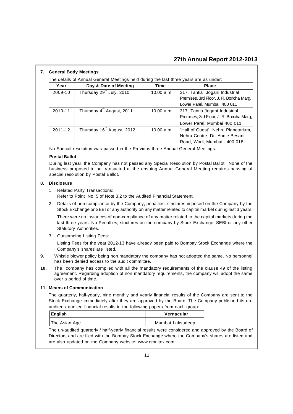#### **7. General Body Meetings**

The details of Annual General Meetings held during the last three years are as under:

| Year    | Day & Date of Meeting                  | <b>Time</b> | <b>Place</b>                             |
|---------|----------------------------------------|-------------|------------------------------------------|
| 2009-10 | Thursday 29 <sup>th</sup> July, 2010   | 10.00 a.m.  | 317, Tantia Jogani Industrial            |
|         |                                        |             | Premises, 3rd Floor, J. R. Boricha Marg, |
|         |                                        |             | Lower Parel, Mumbai 400 011              |
| 2010-11 | Thursday 4 <sup>th</sup> August, 2011  | 10.00 a.m.  | 317, Tantia Jogani Industrial            |
|         |                                        |             | Premises, 3rd Floor, J. R. Boricha Marg, |
|         |                                        |             | Lower Parel, Mumbai 400 011.             |
| 2011-12 | Thursday 16 <sup>th</sup> August, 2012 | 10.00 a.m.  | "Hall of Quest", Nehru Planetarium,      |
|         |                                        |             | Nehru Centre, Dr. Annie Besant           |
|         |                                        |             | Road, Worli, Mumbai - 400 018.           |

No Specail resolution was passed in the Previous three Annual General Meetings.

#### **Postal Ballot**

During last year, the Company has not passed any Special Resolution by Postal Ballot. None of the business proposed to be transacted at the ensuing Annual General Meeting requires passing of special resolution by Postal Ballot.

#### **8. Disclosure**

- 1. Related Party Transactions:
	- Refer to Point No. 5 of Note 3.2 to the Audited Financial Statement.
- 2. Details of non-compliance by the Company, penalties, strictures imposed on the Company by the Stock Exchange or SEBI or any authority on any matter related to capital market during last 3 years.

There were no instances of non-compliance of any matter related to the capital markets during the last three years. No Penalties, strictures on the company by Stock Exchange, SEBI or any other Statutory Authorities.

3. Outstanding Listing Fees:

Listing Fees for the year 2012-13 have already been paid to Bombay Stock Exchange where the Company's shares are listed.

- **9.** Whistle blower policy being non mandatory the company has not adopted the same. No personnel has been denied access to the audit committee.
- **10.** The company has complied with all the mandatory requirements of the clause 49 of the listing agreement. Regarding adoption of non mandatory requirements, the company will adopt the same over a period of time.

#### **11. Means of Communication**

The quarterly, half-yearly, nine monthly and yearly financial results of the Company are sent to the Stock Exchange immediately after they are approved by the Board. The Company published its unaudited / audited financial results in the following papers from each group:

| ∣English      | Vernacular       |
|---------------|------------------|
| The Asian Age | Mumbai Laksadeep |

The un-audited quarterly / half-yearly financial results were considered and approved by the Board of Directors and are filed with the Bombay Stock Exchange where the Company's shares are listed and are also updated on the Company website: www.omnitex.com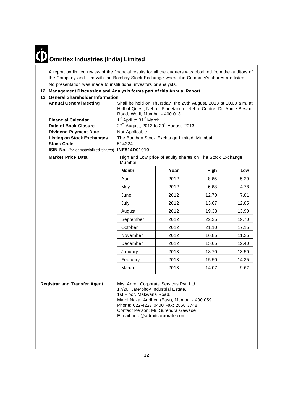A report on limited review of the financial results for all the quarters was obtained from the auditors of the Company and filed with the Bombay Stock Exchange where the Company's shares are listed. No presentation was made to institutional investors or analysts.

#### **12. Management Discussion and Analysis forms part of this Annual Report.**

#### **13. General Shareholder Information**

| <b>Annual General Meeting</b>               | Shall be held on Thursday the 29th August, 2013 at 10.00 a.m. at<br>Hall of Quest, Nehru Planetarium, Nehru Centre, Dr. Annie Besant<br>Road, Worli, Mumbai - 400 018 |
|---------------------------------------------|-----------------------------------------------------------------------------------------------------------------------------------------------------------------------|
| <b>Financial Calendar</b>                   | 1 <sup>st</sup> April to 31 <sup>st</sup> March                                                                                                                       |
| Date of Book Closure                        | 27 <sup>th</sup> August, 2013 to 29 <sup>th</sup> August, 2013                                                                                                        |
| <b>Dividend Payment Date</b>                | Not Applicable                                                                                                                                                        |
| <b>Listing on Stock Exchanges</b>           | The Bombay Stock Exchange Limited, Mumbai                                                                                                                             |
| <b>Stock Code</b>                           | 514324                                                                                                                                                                |
| <b>ISIN No.</b> (for dematerialized shares) | <b>INE814D01010</b>                                                                                                                                                   |
| <b>Market Price Data</b>                    | High and Low price of equity shares on The Stock Exchange,                                                                                                            |

| Mumbai       |      |       |       |
|--------------|------|-------|-------|
| <b>Month</b> | Year | High  | Low   |
| April        | 2012 | 8.65  | 5.29  |
| May          | 2012 | 6.68  | 4.78  |
| June         | 2012 | 12.70 | 7.01  |
| July         | 2012 | 13.67 | 12.05 |
| August       | 2012 | 19.33 | 13.90 |
| September    | 2012 | 22.35 | 19.70 |
| October      | 2012 | 21.10 | 17.15 |
| November     | 2012 | 16.85 | 11.25 |
| December     | 2012 | 15.05 | 12.40 |
| January      | 2013 | 18.70 | 13.50 |
| February     | 2013 | 15.50 | 14.35 |
| March        | 2013 | 14.07 | 9.62  |

**Registrar and Transfer Agent** M/s. Adroit Corporate Services Pvt. Ltd., 17/20, Jaferbhoy Industrial Estate, 1st Floor, Makwana Road, Marol Naka, Andheri (East), Mumbai - 400 059. Phone: 022-4227 0400 Fax: 2850 3748 Contact Person: Mr. Surendra Gawade E-mail: info@adroitcorporate.com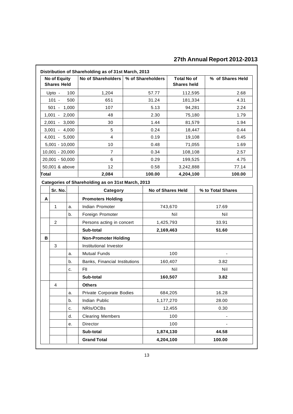| No of Equity<br><b>Shares Held</b> |                   |       | <b>No of Shareholders</b>                         |         | % of Shareholders | <b>Total No of</b><br><b>Shares held</b> |  | % of Shares Held      |  |
|------------------------------------|-------------------|-------|---------------------------------------------------|---------|-------------------|------------------------------------------|--|-----------------------|--|
| Upto -<br>100<br>1,204             |                   |       | 57.77<br>112,595                                  |         |                   | 2.68                                     |  |                       |  |
| $101 -$<br>500<br>651              |                   | 31.24 |                                                   | 181,334 |                   | 4.31                                     |  |                       |  |
|                                    | $501 - 1,000$     |       | 107                                               |         | 5.13              | 94,281                                   |  | 2.24                  |  |
|                                    | $1,001 - 2,000$   |       | 48                                                |         | 2.30              | 75,180                                   |  | 1.79                  |  |
|                                    | $2,001 - 3,000$   |       | 30                                                |         | 1.44              | 81,579                                   |  | 1.94                  |  |
|                                    | $3,001 - 4,000$   |       | 5                                                 |         | 0.24              | 18,447                                   |  | 0.44                  |  |
|                                    | $4,001 - 5,000$   |       | 4                                                 |         | 0.19              | 19,108                                   |  | 0.45                  |  |
|                                    | $5,001 - 10,000$  |       | 10                                                |         | 0.48              | 71,055                                   |  | 1.69                  |  |
|                                    | $10,001 - 20,000$ |       | $\overline{7}$                                    |         | 0.34              | 108,108                                  |  | 2.57                  |  |
|                                    | $20,001 - 50,000$ |       | 6                                                 |         | 0.29              | 199,525                                  |  | 4.75                  |  |
|                                    | 50,001 & above    |       | 12                                                |         | 0.58              | 3,242,888                                |  | 77.14                 |  |
| Total                              |                   |       | 2,084                                             |         | 100.00            | 4,204,100                                |  | 100.00                |  |
|                                    |                   |       | Categories of Shareholding as on 31st March, 2013 |         |                   |                                          |  |                       |  |
|                                    | Sr. No.           |       | Category                                          |         |                   | No of Shares Held                        |  | % to Total Shares     |  |
| A                                  |                   |       | <b>Promoters Holding</b>                          |         |                   |                                          |  |                       |  |
|                                    | $\mathbf{1}$      | a.    | Indian Promoter                                   |         |                   | 743,670                                  |  | 17.69                 |  |
|                                    |                   | b.    | Foreign Promoter                                  |         | Nil<br>1,425,793  |                                          |  | Nil<br>33.91<br>51.60 |  |
|                                    | 2                 |       | Persons acting in concert                         |         |                   |                                          |  |                       |  |
|                                    |                   |       | Sub-total                                         |         | 2,169,463         |                                          |  |                       |  |
| в                                  |                   |       | <b>Non-Promoter Holding</b>                       |         |                   |                                          |  |                       |  |
|                                    | 3                 |       | Institutional Investor                            |         |                   |                                          |  |                       |  |
|                                    |                   | a.    | <b>Mutual Funds</b>                               |         |                   | 100                                      |  |                       |  |
|                                    |                   | b.    | Banks, Financial Institutions                     |         |                   | 160,407                                  |  | 3.82                  |  |
|                                    |                   | c.    | FII.                                              |         | Nil               |                                          |  | Nil                   |  |
|                                    |                   |       | Sub-total                                         |         | 160,507           |                                          |  | 3.82                  |  |
|                                    | 4                 |       | <b>Others</b>                                     |         |                   |                                          |  |                       |  |
| Private Corporate Bodies<br>a.     |                   |       | 684,205                                           |         | 16.28             |                                          |  |                       |  |
|                                    |                   | b.    | Indian Public                                     |         | 1,177,270         |                                          |  | 28.00                 |  |
|                                    |                   | c.    | NRIs/OCBs                                         |         |                   | 12,455                                   |  | 0.30                  |  |
|                                    |                   | d.    | <b>Clearing Members</b>                           |         |                   | 100                                      |  |                       |  |
|                                    |                   | е.    | Director                                          |         |                   | 100                                      |  |                       |  |
|                                    |                   |       | Sub-total                                         |         | 1,874,130         |                                          |  | 44.58                 |  |
|                                    |                   |       | <b>Grand Total</b>                                |         | 4,204,100         |                                          |  | 100.00                |  |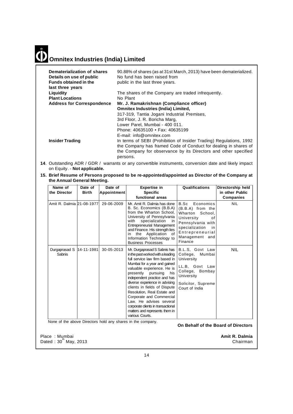| Dematerialization of shares<br>Details on use of public<br><b>Funds obtained in the</b><br>last three years | 90.88% of shares (as at 31st March, 2013) have been dematerialized.<br>No fund has been raised from<br>public in the last three years.                                                                                |
|-------------------------------------------------------------------------------------------------------------|-----------------------------------------------------------------------------------------------------------------------------------------------------------------------------------------------------------------------|
| Liquidity                                                                                                   | The shares of the Company are traded infrequently.                                                                                                                                                                    |
| <b>Plant Locations</b>                                                                                      | No Plant                                                                                                                                                                                                              |
| <b>Address for Correspondence</b>                                                                           | Mr. J. Ramakrishnan (Compliance officer)                                                                                                                                                                              |
|                                                                                                             | <b>Omnitex Industries (India) Limited,</b>                                                                                                                                                                            |
|                                                                                                             | 317-319, Tantia Jogani Industrial Premises,                                                                                                                                                                           |
|                                                                                                             | 3rd Floor, J. R. Boricha Marg,                                                                                                                                                                                        |
|                                                                                                             | Lower Parel, Mumbai - 400 011.                                                                                                                                                                                        |
|                                                                                                             | Phone: 40635100 • Fax: 40635199                                                                                                                                                                                       |
|                                                                                                             | E-mail: info@omnitex.com                                                                                                                                                                                              |
| <b>Insider Trading</b>                                                                                      | In terms of SEBI (Prohibition of Insider Trading) Regulations, 1992<br>the Company has framed Code of Conduct for dealing in shares of<br>the Company for observance by its Directors and other specified<br>persons. |

- **14**. Outstanding ADR / GDR / warrants or any convertible instruments, conversion date and likely impact on Equity. - **Not applicable.**
- **15. Brief Resume of Persons proposed to be re-appointed/appointed as Director of the Company at the Annual General Meeting.**

| Name of<br>the Director               | Date of<br><b>Birth</b> | Date of<br>Appointment | <b>Expertise in</b><br><b>Specific</b><br>functional areas                                                                                                                                                                                                                                                                                                                                                                                                                           | Qualifications                                                                                                                                                             | Directorship held<br>in other Public<br><b>Companies</b> |
|---------------------------------------|-------------------------|------------------------|--------------------------------------------------------------------------------------------------------------------------------------------------------------------------------------------------------------------------------------------------------------------------------------------------------------------------------------------------------------------------------------------------------------------------------------------------------------------------------------|----------------------------------------------------------------------------------------------------------------------------------------------------------------------------|----------------------------------------------------------|
| Amit R. Dalmia 21-08-1977             |                         | 29-06-2009             | Mr. Amit R. Dalmia has done<br>B. Sc. Economics (B.B.A)<br>from the Wharton School.<br>University of Pennsylvania<br>with<br>specialization<br>in<br><b>Entrepreneurial Management</b><br>and Finance. His strength lies<br>Application<br>of<br>the<br>in<br>Information Technology to<br><b>Business Processes</b>                                                                                                                                                                 | B.Sc<br>Economics<br>(B.B.A) from the<br>Wharton School,<br>University<br>οf<br>Pennsylvania with<br>specialization<br>in.<br>Entrepreneurial<br>Management and<br>Finance | <b>NIL</b>                                               |
| Durgaprasad S   14-11-1981 <br>Sabnis |                         | 30-05-2013             | Mr. Durgaprasad S Sabnis has<br>in the past worked with a leading<br>full service law firm based in<br>Mumbai for a year and gained<br>valuable experience. He is<br>presently<br>pursuing<br>his<br>independent practice and has<br>diverse experience in advising<br>clients in fields of Dispute<br>Resolution, Real Estate and<br>Corporate and Commercial<br>Law. He advises several<br>corporate clients in transactional<br>matters and represents them in<br>various Courts. | B.L.S. Govt Law<br>College,<br>Mumbai<br>University<br>LL.B. Govt Law<br>Bombay<br>College,<br>University<br>Solicitor, Supreme<br>Court of India                          | <b>NIL</b>                                               |

Place : Mumbai **Amit R. Dalmia**<br>Dated : 30<sup>th</sup> May, 2013 **Amit R. Dalmia** Dated :  $30<sup>th</sup>$  May, 2013

**On Behalf of the Board of Directors**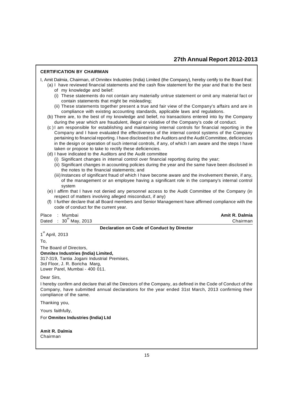| <b>CERTIFICATION BY CHAIRMAN</b>                                                                                                                                                                                                                                                                                                                                                                                                                                                                                                                                                                                                                                                                                                                                                                                                                                                                                                                                                                                                                                                                                                                                                                                                                                                                                                                                                                                                                                                                                                                                                                                                                                                                                                          |                |
|-------------------------------------------------------------------------------------------------------------------------------------------------------------------------------------------------------------------------------------------------------------------------------------------------------------------------------------------------------------------------------------------------------------------------------------------------------------------------------------------------------------------------------------------------------------------------------------------------------------------------------------------------------------------------------------------------------------------------------------------------------------------------------------------------------------------------------------------------------------------------------------------------------------------------------------------------------------------------------------------------------------------------------------------------------------------------------------------------------------------------------------------------------------------------------------------------------------------------------------------------------------------------------------------------------------------------------------------------------------------------------------------------------------------------------------------------------------------------------------------------------------------------------------------------------------------------------------------------------------------------------------------------------------------------------------------------------------------------------------------|----------------|
| I, Amit Dalmia, Chairman, of Omnitex Industries (India) Limited (the Company), hereby certify to the Board that:<br>(a) I have reviewed financial statements and the cash flow statement for the year and that to the best<br>of my knowledge and belief:                                                                                                                                                                                                                                                                                                                                                                                                                                                                                                                                                                                                                                                                                                                                                                                                                                                                                                                                                                                                                                                                                                                                                                                                                                                                                                                                                                                                                                                                                 |                |
| (i) These statements do not contain any materially untrue statement or omit any material fact or<br>contain statements that might be misleading;                                                                                                                                                                                                                                                                                                                                                                                                                                                                                                                                                                                                                                                                                                                                                                                                                                                                                                                                                                                                                                                                                                                                                                                                                                                                                                                                                                                                                                                                                                                                                                                          |                |
| (ii) These statements together present a true and fair view of the Company's affairs and are in<br>compliance with existing accounting standards, applicable laws and regulations.<br>(b) There are, to the best of my knowledge and belief, no transactions entered into by the Company<br>during the year which are fraudulent, illegal or violative of the Company's code of conduct.<br>(c)I am responsible for establishing and maintaining internal controls for financial reporting in the<br>Company and I have evaluated the effectiveness of the internal control systems of the Company<br>pertaining to financial reporting. I have disclosed to the Auditors and the Audit Committee, deficiencies<br>in the design or operation of such internal controls, if any, of which I am aware and the steps I have<br>taken or propose to take to rectify these deficiencies.<br>(d) I have indicated to the Auditors and the Audit committee<br>(i) Significant changes in internal control over financial reporting during the year;<br>(ii) Significant changes in accounting policies during the year and the same have been disclosed in<br>the notes to the financial statements; and<br>(iii) Instances of significant fraud of which I have become aware and the involvement therein, if any,<br>of the management or an employee having a significant role in the company's internal control<br>system<br>(e) I affirm that I have not denied any personnel access to the Audit Committee of the Company (in<br>respect of matters involving alleged misconduct, if any)<br>(f) I further declare that all Board members and Senior Management have affirmed compliance with the<br>code of conduct for the current year. |                |
| : Mumbai<br>Place                                                                                                                                                                                                                                                                                                                                                                                                                                                                                                                                                                                                                                                                                                                                                                                                                                                                                                                                                                                                                                                                                                                                                                                                                                                                                                                                                                                                                                                                                                                                                                                                                                                                                                                         | Amit R. Dalmia |
| Dated : $30^{th}$ May, 2013                                                                                                                                                                                                                                                                                                                                                                                                                                                                                                                                                                                                                                                                                                                                                                                                                                                                                                                                                                                                                                                                                                                                                                                                                                                                                                                                                                                                                                                                                                                                                                                                                                                                                                               | Chairman       |
| Declaration on Code of Conduct by Director<br>$1^{\rm st}$ April, 2013                                                                                                                                                                                                                                                                                                                                                                                                                                                                                                                                                                                                                                                                                                                                                                                                                                                                                                                                                                                                                                                                                                                                                                                                                                                                                                                                                                                                                                                                                                                                                                                                                                                                    |                |
| To,                                                                                                                                                                                                                                                                                                                                                                                                                                                                                                                                                                                                                                                                                                                                                                                                                                                                                                                                                                                                                                                                                                                                                                                                                                                                                                                                                                                                                                                                                                                                                                                                                                                                                                                                       |                |
| The Board of Directors,                                                                                                                                                                                                                                                                                                                                                                                                                                                                                                                                                                                                                                                                                                                                                                                                                                                                                                                                                                                                                                                                                                                                                                                                                                                                                                                                                                                                                                                                                                                                                                                                                                                                                                                   |                |
| <b>Omnitex Industries (India) Limited,</b>                                                                                                                                                                                                                                                                                                                                                                                                                                                                                                                                                                                                                                                                                                                                                                                                                                                                                                                                                                                                                                                                                                                                                                                                                                                                                                                                                                                                                                                                                                                                                                                                                                                                                                |                |
| 317-319, Tantia Jogani Industrial Premises,<br>3rd Floor, J. R. Boricha Marg,                                                                                                                                                                                                                                                                                                                                                                                                                                                                                                                                                                                                                                                                                                                                                                                                                                                                                                                                                                                                                                                                                                                                                                                                                                                                                                                                                                                                                                                                                                                                                                                                                                                             |                |
| Lower Parel, Mumbai - 400 011.                                                                                                                                                                                                                                                                                                                                                                                                                                                                                                                                                                                                                                                                                                                                                                                                                                                                                                                                                                                                                                                                                                                                                                                                                                                                                                                                                                                                                                                                                                                                                                                                                                                                                                            |                |
| Dear Sirs.                                                                                                                                                                                                                                                                                                                                                                                                                                                                                                                                                                                                                                                                                                                                                                                                                                                                                                                                                                                                                                                                                                                                                                                                                                                                                                                                                                                                                                                                                                                                                                                                                                                                                                                                |                |
| I hereby confirm and declare that all the Directors of the Company, as defined in the Code of Conduct of the<br>Company, have submitted annual declarations for the year ended 31st March, 2013 confirming their<br>compliance of the same.                                                                                                                                                                                                                                                                                                                                                                                                                                                                                                                                                                                                                                                                                                                                                                                                                                                                                                                                                                                                                                                                                                                                                                                                                                                                                                                                                                                                                                                                                               |                |
| Thanking you,                                                                                                                                                                                                                                                                                                                                                                                                                                                                                                                                                                                                                                                                                                                                                                                                                                                                                                                                                                                                                                                                                                                                                                                                                                                                                                                                                                                                                                                                                                                                                                                                                                                                                                                             |                |
| Yours faithfully,                                                                                                                                                                                                                                                                                                                                                                                                                                                                                                                                                                                                                                                                                                                                                                                                                                                                                                                                                                                                                                                                                                                                                                                                                                                                                                                                                                                                                                                                                                                                                                                                                                                                                                                         |                |
| For Omnitex Industries (India) Ltd                                                                                                                                                                                                                                                                                                                                                                                                                                                                                                                                                                                                                                                                                                                                                                                                                                                                                                                                                                                                                                                                                                                                                                                                                                                                                                                                                                                                                                                                                                                                                                                                                                                                                                        |                |
| Amit R. Dalmia<br>Chairman                                                                                                                                                                                                                                                                                                                                                                                                                                                                                                                                                                                                                                                                                                                                                                                                                                                                                                                                                                                                                                                                                                                                                                                                                                                                                                                                                                                                                                                                                                                                                                                                                                                                                                                |                |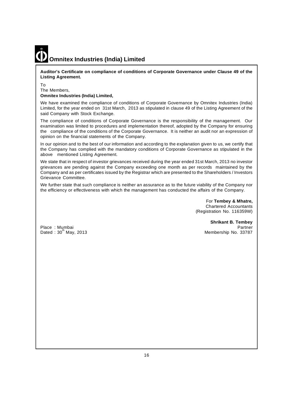**Auditor's Certificate on compliance of conditions of Corporate Governance under Clause 49 of the Listing Agreement.**

To

The Members,

#### **Omnitex Industries (India) Limited,**

We have examined the compliance of conditions of Corporate Governance by Omnitex Industries (India) Limited, for the year ended on 31st March, 2013 as stipulated in clause 49 of the Listing Agreement of the said Company with Stock Exchange.

The compliance of conditions of Corporate Governance is the responsibility of the management. Our examination was limited to procedures and implementation thereof, adopted by the Company for ensuring the compliance of the conditions of the Corporate Governance. It is neither an audit nor an expression of opinion on the financial statements of the Company.

In our opinion and to the best of our information and according to the explanation given to us, we certify that the Company has complied with the mandatory conditions of Corporate Governance as stipulated in the above mentioned Listing Agreement.

We state that in respect of investor grievances received during the year ended 31st March, 2013 no investor grievances are pending against the Company exceeding one month as per records maintained by the Company and as per certificates issued by the Registrar which are presented to the Shareholders / Investors Grievance Committee.

We further state that such compliance is neither an assurance as to the future viability of the Company nor the efficiency or effectiveness with which the management has conducted the affairs of the Company.

> For **Tembey & Mhatre,** Chartered Accountants (Registration No. 116359W)

**Shrikant B. Tembey** Place : Mumbai Partner New York 2012 19:00 Place Partner New York 2014 19:00 Partner New York 2014 19:00 Partner Dated : 30<sup>th</sup> May, 2013 Membership No. 33787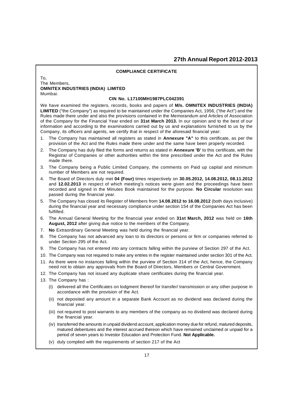#### **COMPLIANCE CERTIFICATE**

#### To, The Members, **OMNITEX INDUSTRIES (INDIA) LIMITED** Mumbai.

#### **CIN No. L17100MH1987PLC042391**

We have examined the registers, records, books and papers of **M/s. OMNITEX INDUSTRIES (INDIA) LIMITED** ("the Company") as required to be maintained under the Companies Act, 1956, ("the Act") and the Rules made there under and also the provisions contained in the Memorandum and Articles of Association of the Company for the Financial Year ended on **31st March 2013.** In our opinion and to the best of our information and according to the examinations carried out by us and explanations furnished to us by the Company, its officers and agents, we certify that in respect of the aforesaid financial year:

- 1. The Company has maintained all registers as stated in **Annexure "A"** to this certificate, as per the provision of the Act and the Rules made there under and the same have been properly recorded.
- 2. The Company has duly filed the forms and returns as stated in **Annexure 'B'** to this certificate, with the Registrar of Companies or other authorities within the time prescribed under the Act and the Rules made there.
- 3. The Company being a Public Limited Company, the comments on Paid up capital and minimum number of Members are not required.
- 4. The Board of Directors duly met **04 (Four)** times respectively on **30.05.2012, 14.08.2012, 08.11.2012** and **12.02.2013** in respect of which meeting's notices were given and the proceedings have been recorded and signed in the Minutes Book maintained for the purpose. **No Circular** resolution was passed during the financial year.
- 5. The Company has closed its Register of Members from **14.08.2012 to 16.08.2012** (both days inclusive) during the financial year and necessary compliance under section 154 of the Companies Act has been fulfilled.
- 6. The Annual General Meeting for the financial year ended on **31st March, 2012** was held on **16th August, 2012** after giving due notice to the members of the Company.
- 7. **No** Extraordinary General Meeting was held during the financial year.
- 8. The Company has not advanced any loan to its directors or persons or firm or companies referred to under Section 295 of the Act.
- 9. The Company has not entered into any contracts falling within the purview of Section 297 of the Act.
- 10. The Company was not required to make any entries in the register maintained under section 301 of the Act.
- 11. As there were no instances falling within the purview of Section 314 of the Act, hence, the Company need not to obtain any approvals from the Board of Directors, Members or Central Government.
- 12. The Company has not issued any duplicate share certificates during the financial year.
- 13. The Company has :
	- (i) delivered all the Certificates on lodgment thereof for transfer/ transmission or any other purpose in accordance with the provision of the Act.
	- (ii) not deposited any amount in a separate Bank Account as no dividend was declared during the financial year.
	- (iii) not required to post warrants to any members of the company as no dividend was declared during the financial year.
	- (iv) transferred the amounts in unpaid dividend account, application money due for refund, matured deposits, matured debentures and the interest accrued thereon which have remained unclaimed or unpaid for a period of seven years to Investor Education and Protection Fund. **Not Applicable.**
	- (v) duly complied with the requirements of section 217 of the Act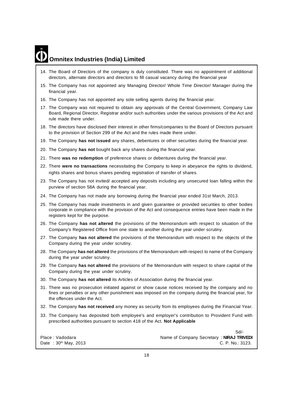- 14. The Board of Directors of the company is duly constituted. There was no appointment of additional directors, alternate directors and directors to fill casual vacancy during the financial year
- 15. The Company has not appointed any Managing Director/ Whole Time Director/ Manager during the financial year.
- 16. The Company has not appointed any sole selling agents during the financial year.
- 17. The Company was not required to obtain any approvals of the Central Government, Company Law Board, Regional Director, Registrar and/or such authorities under the various provisions of the Act and rule made there under.
- 18. The directors have disclosed their interest in other firms/companies to the Board of Directors pursuant to the provision of Section 299 of the Act and the rules made there under.
- 19. The Company **has not issued** any shares, debentures or other securities during the financial year.
- 20. The Company **has not** bought back any shares during the financial year.
- 21. There **was no redemption** of preference shares or debentures during the financial year.
- 22. There **were no transactions** necessitating the Company to keep in abeyance the rights to dividend, rights shares and bonus shares pending registration of transfer of shares.
- 23. The Company has not invited/ accepted any deposits including any unsecured loan falling within the purview of section 58A during the financial year.
- 24. The Company has not made any borrowing during the financial year ended 31st March, 2013.
- 25. The Company has made investments in and given guarantee or provided securities to other bodies corporate in compliance with the provision of the Act and consequence entries have been made in the registers kept for the purpose.
- 26. The Company **has not altered** the provisions of the Memorandum with respect to situation of the Company's Registered Office from one state to another during the year under scrutiny.
- 27. The Company **has not altered** the provisions of the Memorandum with respect to the objects of the Company during the year under scrutiny.
- 28. The Company **has not altered** the provisions of the Memorandum with respect to name of the Company during the year under scrutiny.
- 29. The Company **has not altered** the provisions of the Memorandum with respect to share capital of the Company during the year under scrutiny.
- 30. The Company **has not altered** its Articles of Association during the financial year.
- 31. There was no prosecution initiated against or show cause notices received by the company and no fines or penalties or any other punishment was imposed on the company during the financial year, for the offences under the Act.
- 32. The Company **has not received** any money as security from its employees during the Financial Year.
- 33. The Company has deposited both employee's and employer's contribution to Provident Fund with prescribed authorities pursuant to section 418 of the Act. **Not Applicable**

|                           | Sd/-                                     |
|---------------------------|------------------------------------------|
| Place : Vadodara          | Name of Company Secretary: NIRAJ TRIVEDI |
| Date: $30^{th}$ May, 2013 | C. P. No.: 3123.                         |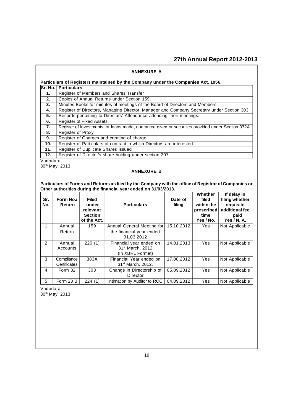| <b>ANNEXURE A</b> |                                                                                                   |  |  |
|-------------------|---------------------------------------------------------------------------------------------------|--|--|
|                   | Particulars of Registers maintained by the Company under the Companies Act, 1956.                 |  |  |
|                   | <b>Sr. No. Particulars</b>                                                                        |  |  |
| 1.                | Register of Members and Shares Transfer                                                           |  |  |
| 2.                | Copies of Annual Returns under Section 159.                                                       |  |  |
| 3.                | Minutes Books for minutes of meetings of the Board of Directors and Members.                      |  |  |
| 4.                | Register of Directors, Managing Director, Manager and Company Secretary under Section 303.        |  |  |
| 5.                | Records pertaining to Directors' Attendance attending their meetings.                             |  |  |
| 6.                | Register of Fixed Assets.                                                                         |  |  |
| 7.                | Register of Investments, or loans made, guarantee given or securities provided under Section 372A |  |  |
| 8.                | Register of Proxy                                                                                 |  |  |
| 9.                | Register of Charges and creating of charge.                                                       |  |  |
| 10.               | Register of Particulars of contract in which Directors are interested.                            |  |  |
| 11.               | Register of Duplicate Shares issued                                                               |  |  |
| 12.               | Register of Director's share holding under section 307.                                           |  |  |
| Vadodara.         |                                                                                                   |  |  |

30th May, 2013

#### **ANNEXURE B**

#### **Particulars of Forms and Returns as filed by the Company with the office of Registrar of Companies or Other authorities during the financial year ended on 31/03/2013.**

| Sr.<br>No.     | Form No./<br><b>Return</b> | <b>Filed</b><br>under<br>relevant<br><b>Section</b><br>of the Act. | <b>Particulars</b>                                                          | Date of<br>filing | Whether<br>filed<br>within the<br>prescribed<br>time<br>Yes / No. | If delay in<br>filing whether<br>requisite<br>additional fee<br>paid<br>Yes / N. A. |
|----------------|----------------------------|--------------------------------------------------------------------|-----------------------------------------------------------------------------|-------------------|-------------------------------------------------------------------|-------------------------------------------------------------------------------------|
| 1              | Annual                     | 159                                                                | Annual General Meeting for                                                  | 15.10.2012        | Yes                                                               | Not Applicable                                                                      |
|                | Return                     |                                                                    | the financial year ended<br>31.03.2012                                      |                   |                                                                   |                                                                                     |
| $\overline{2}$ | Annual<br>Accounts         | 220(1)                                                             | Financial year ended on<br>31 <sup>st</sup> March, 2012<br>(In XBRL Format) | 14.01.2013        | Yes                                                               | Not Applicable                                                                      |
| 3              | Compliance<br>Certificates | 383A                                                               | Financial Year ended on<br>31 <sup>st</sup> March, 2012.                    | 17.08.2012        | Yes                                                               | Not Applicable                                                                      |
| 4              | Form 32                    | 303                                                                | Change in Directorship of<br>Director                                       | 05.09.2012        | Yes                                                               | Not Applicable                                                                      |
| 5              | Form 23 B                  | 224(1)                                                             | Intimation by Auditor to ROC                                                | 04.09.2012        | Yes                                                               | Not Applicable                                                                      |

Vadodara,

30th May, 2013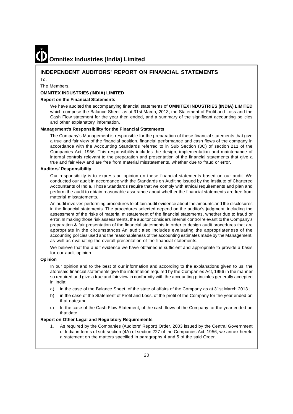#### **INDEPENDENT AUDITORS' REPORT ON FINANCIAL STATEMENTS**

To,

The Members,

#### **OMNITEX INDUSTRIES (INDIA) LIMITED**

#### **Report on the Financial Statements**

We have audited the accompanying financial statements of **OMNITEX INDUSTRIES (INDIA) LIMITED** which comprise the Balance Sheet as at 31st March, 2013, the Statement of Profit and Loss and the Cash Flow statement for the year then ended, and a summary of the significant accounting policies and other explanatory information.

#### **Management's Responsibility for the Financial Statements**

The Company's Management is responsible for the preparation of these financial statements that give a true and fair view of the financial position, financial performance and cash flows of the company in accordance with the Accounting Standards referred to in Sub Section (3C) of section 211 of the Companies Act, 1956. This responsibility includes the design, implementation and maintenance of internal controls relevant to the preparation and presentation of the financial statements that give a true and fair view and are free from material misstatements, whether due to fraud or error.

#### **Auditors' Responsibility**

Our responsibility is to express an opinion on these financial statements based on our audit. We conducted our audit in accordance with the Standards on Auditing issued by the Institute of Chartered Accountants of India. Those Standards require that we comply with ethical requirements and plan and perform the audit to obtain reasonable assurance about whether the financial statements are free from material misstatements.

An audit involves performing procedures to obtain audit evidence about the amounts and the disclosures in the financial statements. The procedures selected depend on the auditor's judgment, including the assessment of the risks of material misstatement of the financial statements, whether due to fraud or error. In making those risk assessments, the auditor considers internal control relevant to the Company's preparation & fair presentation of the financial statements in order to design audit procedures that are appropriate in the circumstances.An audit also includes evaluating the appropriateness of the accounting policies used and the reasonableness of the accounting estimates made by the Management, as well as evaluating the overall presentation of the financial statements.

We believe that the audit evidence we have obtained is sufficient and appropriate to provide a basis for our audit opinion.

#### **Opinion**

In our opinion and to the best of our information and according to the explanations given to us, the aforesaid financial statements give the information required by the Companies Act, 1956 in the manner so required and give a true and fair view in conformity with the accounting principles generally accepted in India:

- a) in the case of the Balance Sheet, of the state of affairs of the Company as at 31st March 2013 ;
- b) in the case of the Statement of Profit and Loss, of the profit of the Company for the year ended on that date;and
- c) In the case of the Cash Flow Statement, of the cash flows of the Company for the year ended on that date.

#### **Report on Other Legal and Regulatory Requirements**

1. As required by the Companies (Auditors' Report) Order, 2003 issued by the Central Government of India in terms of sub-section (4A) of section 227 of the Companies Act, 1956, we annex hereto a statement on the matters specified in paragraphs 4 and 5 of the said Order.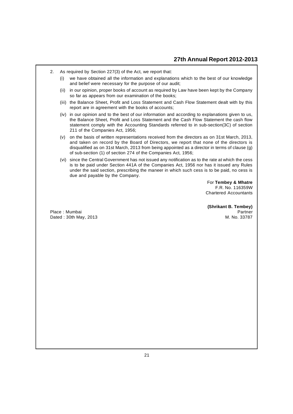- 2. As required by Section 227(3) of the Act, we report that:
	- (i) we have obtained all the information and explanations which to the best of our knowledge and belief were necessary for the purpose of our audit;
	- (ii) in our opinion, proper books of account as required by Law have been kept by the Company so far as appears from our examination of the books;
	- (iii) the Balance Sheet, Profit and Loss Statement and Cash Flow Statement dealt with by this report are in agreement with the books of accounts;
	- (iv) in our opinion and to the best of our information and according to explanations given to us, the Balance Sheet, Profit and Loss Statement and the Cash Flow Statement the cash flow statement comply with the Accounting Standards referred to in sub-section(3C) of section 211 of the Companies Act, 1956;
	- (v) on the basis of written representations received from the directors as on 31st March, 2013, and taken on record by the Board of Directors, we report that none of the directors is disqualified as on 31st March, 2013 from being appointed as a director in terms of clause (g) of sub-section (1) of section 274 of the Companies Act, 1956;
	- (vi) since the Central Government has not issued any notification as to the rate at which the cess is to be paid under Section 441A of the Companies Act, 1956 nor has it issued any Rules under the said section, prescribing the maneer in which such cess is to be paid, no cess is due and payable by the Company.

For **Tembey & Mhatre** F.R. No. 116359W Chartered Accountants

Dated : 30th May, 2013 M. No. 33787

**(Shrikant B. Tembey)** Place : Mumbai Partner New York 1999, Place : Mumbai Partner New York 1999, Place 1999, Partner New York 1999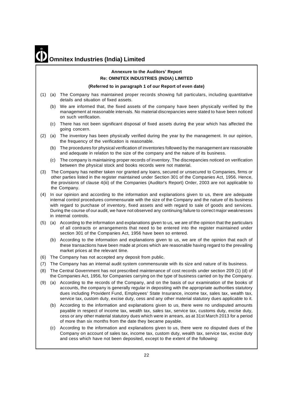

#### **Annexure to the Auditors' Report Re: OMNITEX INDUSTRIES (INDIA) LIMITED**

#### **(Referred to in paragraph 1 of our Report of even date)**

- (1) (a) The Company has maintained proper records showing full particulars, including quantitative details and situation of fixed assets.
	- (b) We are informed that, the fixed assets of the company have been physically verified by the management at reasonable intervals. No material discrepancies were stated to have been noticed on such verification.
	- (c) There has not been significant disposal of fixed assets during the year which has affected the going concern.
- (2) (a) The inventory has been physically verified during the year by the management. In our opinion, the frequency of the verification is reasonable.
	- (b) The procedures for physical verification of inventories followed by the management are reasonable and adequate in relation to the size of the company and the nature of its business.
	- (c) The company is maintaining proper records of inventory. The discrepancies noticed on verification between the physical stock and books records were not material.
- (3) The Company has neither taken nor granted any loans, secured or unsecured to Companies, firms or other parties listed in the register maintained under Section 301 of the Companies Act, 1956. Hence, the provisions of clause 4(iii) of the Companies (Auditor's Report) Order, 2003 are not applicable to the Company.
- (4) In our opinion and according to the information and explanations given to us, there are adequate internal control procedures commensurate with the size of the Company and the nature of its business with regard to purchase of inventory, fixed assets and with regard to sale of goods and services. During the course of our audit, we have not observed any continuing failure to correct major weaknesses in internal controls.
- (5) (a) According to the information and explanations given to us, we are of the opinion that the particulars of all contracts or arrangements that need to be entered into the register maintained under section 301 of the Companies Act, 1956 have been so entered.
	- (b) According to the information and explanations given to us, we are of the opinion that each of these transactions have been made at prices which are reasonable having regard to the prevailing market prices at the relevant time.
- (6) The Company has not accepted any deposit from public.
- (7) The Company has an internal audit system commensurate with its size and nature of its business.
- (8) The Central Government has not prescribed maintenance of cost records under section 209 (1) (d) of the Companies Act, 1956, for Companies carrying on the type of business carried on by the Company.
- (9) (a) According to the records of the Company, and on the basis of our examination of the books of accounts, the company is generally regular in depositing with the appropriate authorities statutory dues including Provident Fund, Employees' State Insurance, income tax, sales tax, wealth tax, service tax, custom duty, excise duty, cess and any other material statutory dues applicable to it.
	- (b) According to the information and explanations given to us, there were no undisputed amounts payable in respect of income tax, wealth tax, sales tax, service tax, customs duty, excise duty, cess or any other material statutory dues which were in arrears, as at 31st March 2013 for a period of more than six months from the date they became payable.
	- (c) According to the information and explanations given to us, there were no disputed dues of the Company on account of sales tax, income tax, custom duty, wealth tax, service tax, excise duty and cess which have not been deposited, except to the extent of the following: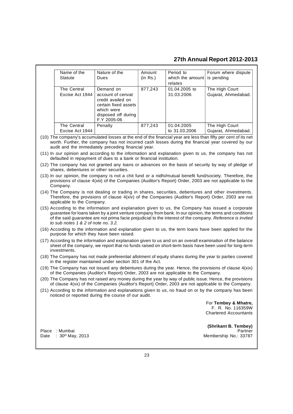|       | Name of the                                                                                                                                                                                                                                                                                                                                                        | Nature of the                                                                                                                   | Amount   | Period to                   | Forum where dispute                                                                                                                                                                                                  |
|-------|--------------------------------------------------------------------------------------------------------------------------------------------------------------------------------------------------------------------------------------------------------------------------------------------------------------------------------------------------------------------|---------------------------------------------------------------------------------------------------------------------------------|----------|-----------------------------|----------------------------------------------------------------------------------------------------------------------------------------------------------------------------------------------------------------------|
|       | Statute                                                                                                                                                                                                                                                                                                                                                            | Dues                                                                                                                            | (in Rs.) | which the amount<br>relates | is pending                                                                                                                                                                                                           |
|       | The Central<br>Excise Act 1944                                                                                                                                                                                                                                                                                                                                     | Demand on<br>account of cenvat<br>credit availed on<br>certain fixed assets<br>which were<br>disposed off during<br>F.Y 2005-06 | 877,243  | 01.04.2005 to<br>31.03.2006 | The High Court<br>Gujarat, Ahmedabad.                                                                                                                                                                                |
|       | The Central<br>Excise Act 1944                                                                                                                                                                                                                                                                                                                                     | Penalty                                                                                                                         | 877,243  | 01.04.2005<br>to 31.03.2006 | The High Court<br>Gujarat, Ahmedabad.                                                                                                                                                                                |
|       |                                                                                                                                                                                                                                                                                                                                                                    | audit and the immediately preceding financial year.                                                                             |          |                             | (10) The company's accumulated losses at the end of the financial year are less than fifty per cent of its net<br>worth. Further, the company has not incurred cash losses during the financial year covered by our  |
|       |                                                                                                                                                                                                                                                                                                                                                                    | defaulted in repayment of dues to a bank or financial institution.                                                              |          |                             | (11) In our opinion and according to the information and explanation given to us, the company has not                                                                                                                |
|       | shares, debentures or other securities.                                                                                                                                                                                                                                                                                                                            |                                                                                                                                 |          |                             | (12) The company has not granted any loans or advances on the basis of security by way of pledge of                                                                                                                  |
|       | Company.                                                                                                                                                                                                                                                                                                                                                           |                                                                                                                                 |          |                             | (13) In our opinion, the company is not a chit fund or a nidhi/mutual benefit fund/society. Therefore, the<br>provisions of clause 4(xiii) of the Companies (Auditor's Report) Order, 2003 are not applicable to the |
|       | (14) The Company is not dealing or trading in shares, securities, debentures and other investments.<br>Therefore, the provisions of clause 4(xiv) of the Companies (Auditor's Report) Order, 2003 are not<br>applicable to the Company.                                                                                                                            |                                                                                                                                 |          |                             |                                                                                                                                                                                                                      |
|       | (15) According to the information and explanation given to us, the Company has issued a corporate<br>guarantee for loans taken by a joint venture company from bank. In our opinion, the terms and conditions<br>of the said guarantee are not prima facie prejudicial to the interest of the company. Reference is invited<br>to sub notes 1 & 2 of note no. 3.2. |                                                                                                                                 |          |                             |                                                                                                                                                                                                                      |
|       | (16) According to the information and explanation given to us, the term loans have been applied for the<br>purpose for which they have been raised.                                                                                                                                                                                                                |                                                                                                                                 |          |                             |                                                                                                                                                                                                                      |
|       | (17) According to the information and explanation given to us and on an overall examination of the balance<br>sheet of the company, we report that no funds raised on short-term basis have been used for long-term<br>investments.                                                                                                                                |                                                                                                                                 |          |                             |                                                                                                                                                                                                                      |
|       |                                                                                                                                                                                                                                                                                                                                                                    | in the register maintained under section 301 of the Act.                                                                        |          |                             | (18) The Company has not made preferential allotment of equity shares during the year to parties covered                                                                                                             |
|       |                                                                                                                                                                                                                                                                                                                                                                    | of the Companies (Auditor's Report) Order, 2003 are not applicable to the Company.                                              |          |                             | (19) The Company has not issued any debentures during the year. Hence, the provisions of clause 4(xix)                                                                                                               |
|       |                                                                                                                                                                                                                                                                                                                                                                    |                                                                                                                                 |          |                             | (20) The Company has not raised any money during the year by way of public issue. Hence, the provisions<br>of clause 4(xx) of the Companies (Auditor's Report) Order, 2003 are not applicable to the Company.        |
|       |                                                                                                                                                                                                                                                                                                                                                                    | noticed or reported during the course of our audit.                                                                             |          |                             | (21) According to the information and explanations given to us, no fraud on or by the company has been                                                                                                               |
|       |                                                                                                                                                                                                                                                                                                                                                                    |                                                                                                                                 |          |                             | For Tembey & Mhatre,<br>F. R. No. 116359W<br><b>Chartered Accountants</b>                                                                                                                                            |
| Place | : Mumbai                                                                                                                                                                                                                                                                                                                                                           |                                                                                                                                 |          |                             | (Shrikant B. Tembey)<br>Partner                                                                                                                                                                                      |
| Date  | : 30th May, 2013                                                                                                                                                                                                                                                                                                                                                   |                                                                                                                                 |          |                             | Membership No.: 33787                                                                                                                                                                                                |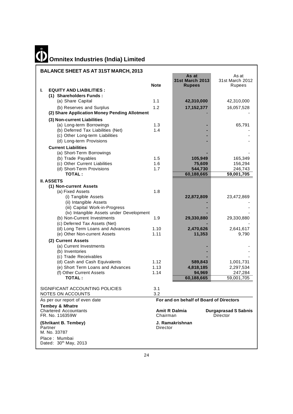| <b>BALANCE SHEET AS AT 31ST MARCH, 2013</b>                |             |                                         |                             |
|------------------------------------------------------------|-------------|-----------------------------------------|-----------------------------|
|                                                            | <b>Note</b> | As at<br><b>31st March 2013</b>         | As at<br>31st March 2012    |
| <b>EQUITY AND LIABILITIES:</b><br>L.                       |             | <b>Rupees</b>                           | Rupees                      |
| (1) Shareholders Funds:                                    |             |                                         |                             |
| (a) Share Capital                                          | 1.1         | 42,310,000                              | 42,310,000                  |
| (b) Reserves and Surplus                                   | 1.2         | 17,152,377                              | 16,057,528                  |
| (2) Share Application Money Pending Allotment              |             |                                         |                             |
| (3) Non-current Liabilities                                |             |                                         |                             |
| (a) Long-term Borrowings                                   | 1.3         |                                         | 65,791                      |
| (b) Deferred Tax Liabilities (Net)                         | 1.4         |                                         |                             |
| (c) Other Long-term Liabilities                            |             |                                         |                             |
| (d) Long-term Provisions                                   |             |                                         |                             |
| <b>Current Liabilities</b>                                 |             |                                         |                             |
| (a) Short-Term Borrowings                                  |             |                                         |                             |
| (b) Trade Payables                                         | 1.5         | 105,949                                 | 165,349                     |
| (c) Other Current Liabilities                              | 1.6         | 75,609                                  | 156,294                     |
| (d) Short-Term Provisions<br><b>TOTAL:</b>                 | 1.7         | 544,730                                 | 246,743                     |
|                                                            |             | 60,188,665                              | 59,001,705                  |
| <b>II. ASSETS</b>                                          |             |                                         |                             |
| (1) Non-current Assets                                     |             |                                         |                             |
| (a) Fixed Assets                                           | 1.8         |                                         |                             |
| (i) Tangible Assets<br>(ii) Intangible Assets              |             | 22,872,809                              | 23,472,869                  |
| (iii) Capital Work-in-Progress                             |             |                                         |                             |
| (iv) Intangible Assets under Development                   |             |                                         |                             |
| (b) Non-Current Investments                                | 1.9         | 29,330,880                              | 29,330,880                  |
| (c) Deferred Tax Assets (Net)                              |             |                                         |                             |
| (d) Long Term Loans and Advances                           | 1.10        | 2,470,626                               | 2,641,617                   |
| (e) Other Non-current Assets                               | 1.11        | 11,353                                  | 9,790                       |
| (2) Current Assets                                         |             |                                         |                             |
| (a) Current Investments                                    |             |                                         |                             |
| (b) Inventories                                            |             |                                         |                             |
| (c) Trade Receivables                                      |             |                                         |                             |
| (d) Cash and Cash Equivalents                              | 1.12        | 589,843                                 | 1,001,731                   |
| (e) Short Term Loans and Advances                          | 1.13        | 4,818,185                               | 2,297,534                   |
| (f) Other Current Assets                                   | 1.14        | 94,969                                  | 247,284                     |
| TOTAL :                                                    |             | 60,188,665                              | 59,001,705                  |
| SIGNIFICANT ACCOUNTING POLICIES                            | 3.1         |                                         |                             |
| NOTES ON ACCOUNTS                                          | 3.2         |                                         |                             |
|                                                            |             | For and on behalf of Board of Directors |                             |
| As per our report of even date                             |             |                                         |                             |
| <b>Tembey &amp; Mhatre</b><br><b>Chartered Accountants</b> |             | <b>Amit R Dalmia</b>                    | <b>Durgaprasad S Sabnis</b> |
| FR. No. 116359W                                            | Chairman    |                                         | Director                    |
| (Shrikant B. Tembey)                                       |             | J. Ramakrishnan                         |                             |
| Partner                                                    | Director    |                                         |                             |
| M. No. 33787                                               |             |                                         |                             |
| Place: Mumbai<br>Dated: 30 <sup>th</sup> May, 2013         |             |                                         |                             |
|                                                            |             |                                         |                             |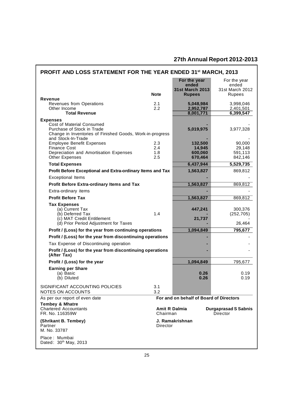| <b>PROFIT AND LOSS STATEMENT FOR THE YEAR ENDED 31st MARCH, 2013</b> |                                  |                                                 |                                          |
|----------------------------------------------------------------------|----------------------------------|-------------------------------------------------|------------------------------------------|
|                                                                      |                                  | For the year<br>ended<br><b>31st March 2013</b> | For the year<br>ended<br>31st March 2012 |
| <b>Revenue</b>                                                       | <b>Note</b>                      | <b>Rupees</b>                                   | <b>Rupees</b>                            |
| Revenues from Operations                                             | 2.1                              | 5,048,984                                       | 3,998,046                                |
| Other Income                                                         | 2.2                              | 2,952,787                                       | 2,401,501                                |
| <b>Total Revenue</b>                                                 |                                  | 8,001,771                                       | 6,399,547                                |
| <b>Expenses</b><br>Cost of Material Consumed                         |                                  |                                                 |                                          |
| Purchase of Stock in Trade                                           |                                  | 5,019,975                                       | 3,977,328                                |
| Change in Inventories of Finished Goods, Work-in-progress            |                                  |                                                 |                                          |
| and Stock-In-Trade                                                   | 2.3                              |                                                 | 90,000                                   |
| <b>Employee Benefit Expenses</b><br><b>Finance Cost</b>              | 2.4                              | 132,500<br>14,945                               | 29,148                                   |
| Depreciation and Amortisation Expenses                               | 1.8                              | 600,060                                         | 591,113                                  |
| Other Expenses                                                       | 2.5                              | 670,464                                         | 842,146                                  |
| <b>Total Expenses</b>                                                |                                  | 6,437,944                                       | 5,529,735                                |
| Profit Before Exceptional and Extra-ordinary Items and Tax           |                                  | 1,563,827                                       | 869,812                                  |
| <b>Exceptional Items</b>                                             |                                  |                                                 |                                          |
| Profit Before Extra-ordinary Items and Tax                           |                                  | 1,563,827                                       | 869,812                                  |
| Extra-ordinary items                                                 |                                  |                                                 |                                          |
| <b>Profit Before Tax</b>                                             |                                  | 1,563,827                                       | 869,812                                  |
| <b>Tax Expenses</b>                                                  |                                  |                                                 |                                          |
| (a) Current Tax                                                      |                                  | 447,241                                         | 300,376                                  |
| (b) Deferred Tax                                                     | 1.4                              |                                                 | (252, 705)                               |
| (c) MAT Credit Entitlement<br>(d) Prior Period Adjustment for Taxes  |                                  | 21,737                                          | 26,464                                   |
| Profit / (Loss) for the year from continuing operations              |                                  | 1,094,849                                       | 795,677                                  |
| Profit / (Loss) for the year from discontinuing operations           |                                  |                                                 |                                          |
| Tax Expense of Discontinuing operation                               |                                  |                                                 |                                          |
| Profit / (Loss) for the year from discontinuing operations           |                                  |                                                 |                                          |
| (After Tax)                                                          |                                  |                                                 |                                          |
| Profit / (Loss) for the year                                         |                                  | 1,094,849                                       | 795,677                                  |
| <b>Earning per Share</b>                                             |                                  |                                                 |                                          |
| (a) Basic<br>(b) Diluted                                             |                                  | 0.26<br>0.26                                    | 0.19<br>0.19                             |
|                                                                      |                                  |                                                 |                                          |
| SIGNIFICANT ACCOUNTING POLICIES<br>NOTES ON ACCOUNTS                 | 3.1<br>3.2                       |                                                 |                                          |
| As per our report of even date                                       |                                  | For and on behalf of Board of Directors         |                                          |
| <b>Tembey &amp; Mhatre</b>                                           |                                  |                                                 |                                          |
| <b>Chartered Accountants</b><br>FR. No. 116359W                      | <b>Amit R Dalmia</b><br>Chairman |                                                 | <b>Durgaprasad S Sabnis</b><br>Director  |
| (Shrikant B. Tembey)                                                 |                                  | J. Ramakrishnan                                 |                                          |
| Partner                                                              | Director                         |                                                 |                                          |
| M. No. 33787                                                         |                                  |                                                 |                                          |
| Place: Mumbai<br>Dated: 30 <sup>th</sup> May, 2013                   |                                  |                                                 |                                          |
|                                                                      |                                  |                                                 |                                          |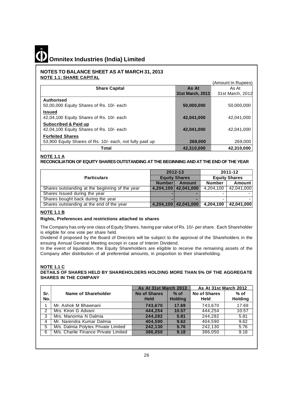

#### **NOTES TO BALANCE SHEET AS AT MARCH 31, 2013 NOTE 1.1: SHARE CAPITAL**

|                                                          |                  | (Amount In Rupees) |
|----------------------------------------------------------|------------------|--------------------|
| <b>Share Capital</b>                                     | As At            | As At              |
|                                                          | 31st March, 2013 | 31st March, 2012   |
| <b>Authorised</b>                                        |                  |                    |
| 50,00,000 Equity Shares of Rs. 10/- each                 | 50,000,000       | 50,000,000         |
| <b>Issued</b>                                            |                  |                    |
| 42,04,100 Equity Shares of Rs. 10/- each                 | 42,041,000       | 42,041,000         |
| <b>Subscribed &amp; Paid up</b>                          |                  |                    |
| 42,04,100 Equity Shares of Rs. 10/- each                 | 42,041,000       | 42,041,000         |
| <b>Forfeited Shares</b>                                  |                  |                    |
| 53,900 Equity Shares of Rs. 10/- each, not fully paid up | 269,000          | 269,000            |
| Total                                                    | 42,310,000       | 42,310,000         |

#### **NOTE 1.1 A**

#### **RECONCILIATION OF EQUITY SHARES OUTSTANDING AT THE BEGINNING AND AT THE END OF THE YEAR**

|                                                 |                      | $2012 - 13$          | 2011-12       |                      |  |
|-------------------------------------------------|----------------------|----------------------|---------------|----------------------|--|
| <b>Particulars</b>                              | <b>Equity Shares</b> |                      |               | <b>Equity Shares</b> |  |
|                                                 | Number               | Amount               | <b>Number</b> | Amount               |  |
| Shares outstanding at the beginning of the year |                      | 4,204,100 42,041,000 | 4,204,100     | 42,041,000           |  |
| Shares Issued during the year                   |                      |                      |               |                      |  |
| Shares bought back during the year              |                      |                      |               |                      |  |
| Shares outstanding at the end of the year       |                      | 4,204,100 42,041,000 | 4,204,100     | 42,041,000           |  |

#### **NOTE 1.1 B**

#### **Rights, Preferences and restrictions attached to shares**

The Company has only one class of Equity Shares, having par value of Rs. 10/- per share. Each Shareholder is eligible for one vote per share held.

Dividend if proposed by the Board of Directors will be subject to the approval of the Shareholders in the ensuing Annual General Meeting except in case of Interim Dividend.

In the event of liquidation, the Equity Shareholders are eligible to receive the remaining assets of the Company after distribution of all preferential amounts, in proportion to their shareholding.

#### **NOTE 1.1 C DETAILS OF SHARES HELD BY SHAREHOLDERS HOLDING MORE THAN 5% OF THE AGGREGATE SHARES IN THE COMPANY**

|            |                                      | As At 31st March 2013              |                          | As At 31st March 2012 |                          |
|------------|--------------------------------------|------------------------------------|--------------------------|-----------------------|--------------------------|
| Sr.<br>No. | Name of Shareholder                  | <b>No of Shares</b><br><b>Held</b> | $%$ of<br><b>Holding</b> | No of Shares<br>Held  | $%$ of<br><b>Holding</b> |
|            |                                      |                                    |                          |                       |                          |
|            | Mr. Ashok M Bhawnani                 | 743,670                            | 17.69                    | 743.670               | 17.69                    |
| 2          | Mrs. Kiron G Advani                  | 444,254                            | 10.57                    | 444.254               | 10.57                    |
| 3          | Mrs. Manorma N Dalmia                | 244.282                            | 5.81                     | 244.282               | 5.81                     |
| 4          | Mr. Narendra Kumar Dalmia            | 404.590                            | 9.62                     | 404.590               | 9.62                     |
| 5          | M/s. Dalmia Polytex Private Limited  | 242,130                            | 5.76                     | 242,130               | 5.76                     |
| 6          | M/s. Charlie Finance Private Limited | 386.050                            | 9.18                     | 386.050               | 9.18                     |
|            |                                      |                                    |                          |                       |                          |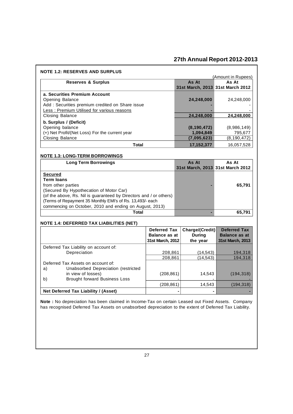| <b>NOTE 1.2: RESERVES AND SURPLUS</b>           |                                  |                    |
|-------------------------------------------------|----------------------------------|--------------------|
|                                                 |                                  | (Amount in Rupees) |
| <b>Reserves &amp; Surplus</b>                   | As At                            | As At              |
|                                                 | 31st March, 2013 31st March 2012 |                    |
| a. Securities Premium Account                   |                                  |                    |
| Opening Balance                                 | 24,248,000                       | 24,248,000         |
| Add: Securities premium credited on Share issue |                                  |                    |
| Less: Premium Utilised for various reasons      |                                  |                    |
| <b>Closing Balance</b>                          | 24,248,000                       | 24,248,000         |
| b. Surplus / (Deficit)                          |                                  |                    |
| Opening balance                                 | (8, 190, 472)                    | (8,986,149)        |
| (+) Net Profit/(Net Loss) For the current year  | 1,094,849                        | 795,677            |
| <b>Closing Balance</b>                          | (7,095,623)                      | (8, 190, 472)      |
| Total                                           | 17,152,377                       | 16,057,528         |

#### **NOTE 1.3: LONG-TERM BORROWINGS**

| <b>Long Term Borrowings</b>                                        | As At                            | As At  |
|--------------------------------------------------------------------|----------------------------------|--------|
|                                                                    | 31st March, 2013 31st March 2012 |        |
| <b>Secured</b>                                                     |                                  |        |
| <b>Term loans</b>                                                  |                                  |        |
| from other parties                                                 |                                  | 65.791 |
| (Secured By Hypothecation of Motor Car)                            |                                  |        |
| (of the above, Rs. Nil is guaranteed by Directors and / or others) |                                  |        |
| (Terms of Repayment 35 Monthly EMI's of Rs. 13,493/- each          |                                  |        |
| commencing on October, 2010 and ending on August, 2013)            |                                  |        |
| Total                                                              |                                  | 65.791 |

#### **NOTE 1.4: DEFERRED TAX LIABILITIES (NET)**

|                                                                                 | <b>Deferred Tax</b><br><b>Balance as at</b><br>31st March, 2012 | Charge/(Credit)<br><b>During</b><br>the year | <b>Deferred Tax</b><br><b>Balance as at</b><br>31st March, 2013 |
|---------------------------------------------------------------------------------|-----------------------------------------------------------------|----------------------------------------------|-----------------------------------------------------------------|
| Deferred Tax Liability on account of:                                           |                                                                 |                                              |                                                                 |
| Depreciation                                                                    | 208,861                                                         | (14, 543)                                    | 194,318                                                         |
|                                                                                 | 208,861                                                         | (14, 543)                                    | 194,318                                                         |
| Deferred Tax Assets on account of:<br>Unabsorbed Depreciation (restricted<br>a) |                                                                 |                                              |                                                                 |
| in view of losses)                                                              | (208,861)                                                       | 14,543                                       | (194, 318)                                                      |
| <b>Brought forward Business Loss</b><br>b)                                      |                                                                 |                                              |                                                                 |
|                                                                                 | (208,861)                                                       | 14,543                                       | (194, 318)                                                      |
| Net Deferred Tax Liability / (Asset)                                            |                                                                 |                                              |                                                                 |

**Note :** No depreciation has been claimed in Income-Tax on certain Leased out Fixed Assets. Company has recognised Deferred Tax Assets on unabsorbed depreciation to the extent of Deferred Tax Liability.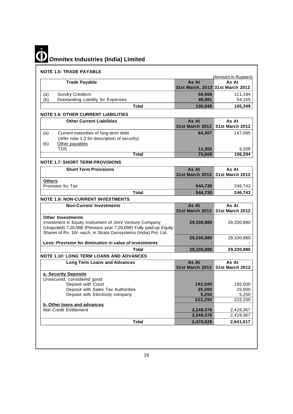#### **NOTE 1.5: TRADE PAYABLE**

| <b>Trade Payable</b>                                                                 | As At                                                                                                                                                                                                                                                                                                                                                                                                                                                                                                                                                                                                                                                                                                                                                                   | (Amount in Rupees)<br>As At                                                                                                                                                                                                                                  |
|--------------------------------------------------------------------------------------|-------------------------------------------------------------------------------------------------------------------------------------------------------------------------------------------------------------------------------------------------------------------------------------------------------------------------------------------------------------------------------------------------------------------------------------------------------------------------------------------------------------------------------------------------------------------------------------------------------------------------------------------------------------------------------------------------------------------------------------------------------------------------|--------------------------------------------------------------------------------------------------------------------------------------------------------------------------------------------------------------------------------------------------------------|
|                                                                                      |                                                                                                                                                                                                                                                                                                                                                                                                                                                                                                                                                                                                                                                                                                                                                                         |                                                                                                                                                                                                                                                              |
|                                                                                      |                                                                                                                                                                                                                                                                                                                                                                                                                                                                                                                                                                                                                                                                                                                                                                         | 111,194                                                                                                                                                                                                                                                      |
|                                                                                      |                                                                                                                                                                                                                                                                                                                                                                                                                                                                                                                                                                                                                                                                                                                                                                         | 54,155                                                                                                                                                                                                                                                       |
|                                                                                      |                                                                                                                                                                                                                                                                                                                                                                                                                                                                                                                                                                                                                                                                                                                                                                         | 165,349                                                                                                                                                                                                                                                      |
|                                                                                      |                                                                                                                                                                                                                                                                                                                                                                                                                                                                                                                                                                                                                                                                                                                                                                         |                                                                                                                                                                                                                                                              |
|                                                                                      |                                                                                                                                                                                                                                                                                                                                                                                                                                                                                                                                                                                                                                                                                                                                                                         |                                                                                                                                                                                                                                                              |
|                                                                                      | <b>31st March 2013</b>                                                                                                                                                                                                                                                                                                                                                                                                                                                                                                                                                                                                                                                                                                                                                  | As At<br>31st March 2012                                                                                                                                                                                                                                     |
| Current maturities of long-term debt<br>(refer note 1.3 for description of security) | 64,307                                                                                                                                                                                                                                                                                                                                                                                                                                                                                                                                                                                                                                                                                                                                                                  | 147,085                                                                                                                                                                                                                                                      |
| Other payables                                                                       |                                                                                                                                                                                                                                                                                                                                                                                                                                                                                                                                                                                                                                                                                                                                                                         |                                                                                                                                                                                                                                                              |
|                                                                                      |                                                                                                                                                                                                                                                                                                                                                                                                                                                                                                                                                                                                                                                                                                                                                                         | 9,209                                                                                                                                                                                                                                                        |
|                                                                                      |                                                                                                                                                                                                                                                                                                                                                                                                                                                                                                                                                                                                                                                                                                                                                                         | 156,294                                                                                                                                                                                                                                                      |
|                                                                                      |                                                                                                                                                                                                                                                                                                                                                                                                                                                                                                                                                                                                                                                                                                                                                                         |                                                                                                                                                                                                                                                              |
| <b>Short Term Provisions</b>                                                         | As At                                                                                                                                                                                                                                                                                                                                                                                                                                                                                                                                                                                                                                                                                                                                                                   | As At                                                                                                                                                                                                                                                        |
|                                                                                      |                                                                                                                                                                                                                                                                                                                                                                                                                                                                                                                                                                                                                                                                                                                                                                         | <b>31st March 2012</b>                                                                                                                                                                                                                                       |
|                                                                                      |                                                                                                                                                                                                                                                                                                                                                                                                                                                                                                                                                                                                                                                                                                                                                                         |                                                                                                                                                                                                                                                              |
|                                                                                      |                                                                                                                                                                                                                                                                                                                                                                                                                                                                                                                                                                                                                                                                                                                                                                         | 246,743                                                                                                                                                                                                                                                      |
|                                                                                      |                                                                                                                                                                                                                                                                                                                                                                                                                                                                                                                                                                                                                                                                                                                                                                         | 246,743                                                                                                                                                                                                                                                      |
|                                                                                      |                                                                                                                                                                                                                                                                                                                                                                                                                                                                                                                                                                                                                                                                                                                                                                         |                                                                                                                                                                                                                                                              |
|                                                                                      | <b>31st March 2013</b>                                                                                                                                                                                                                                                                                                                                                                                                                                                                                                                                                                                                                                                                                                                                                  | As At<br><b>31st March 2012</b>                                                                                                                                                                                                                              |
|                                                                                      | 29,330,880                                                                                                                                                                                                                                                                                                                                                                                                                                                                                                                                                                                                                                                                                                                                                              | 29,330,880                                                                                                                                                                                                                                                   |
|                                                                                      | 29,330,880                                                                                                                                                                                                                                                                                                                                                                                                                                                                                                                                                                                                                                                                                                                                                              | 29,330,880                                                                                                                                                                                                                                                   |
|                                                                                      |                                                                                                                                                                                                                                                                                                                                                                                                                                                                                                                                                                                                                                                                                                                                                                         |                                                                                                                                                                                                                                                              |
|                                                                                      |                                                                                                                                                                                                                                                                                                                                                                                                                                                                                                                                                                                                                                                                                                                                                                         | 29,330,880                                                                                                                                                                                                                                                   |
|                                                                                      |                                                                                                                                                                                                                                                                                                                                                                                                                                                                                                                                                                                                                                                                                                                                                                         |                                                                                                                                                                                                                                                              |
|                                                                                      | <b>31st March 2013</b>                                                                                                                                                                                                                                                                                                                                                                                                                                                                                                                                                                                                                                                                                                                                                  | As At<br>31st March 2012                                                                                                                                                                                                                                     |
|                                                                                      |                                                                                                                                                                                                                                                                                                                                                                                                                                                                                                                                                                                                                                                                                                                                                                         |                                                                                                                                                                                                                                                              |
|                                                                                      |                                                                                                                                                                                                                                                                                                                                                                                                                                                                                                                                                                                                                                                                                                                                                                         |                                                                                                                                                                                                                                                              |
|                                                                                      |                                                                                                                                                                                                                                                                                                                                                                                                                                                                                                                                                                                                                                                                                                                                                                         | 192,000                                                                                                                                                                                                                                                      |
| Deposit with Sales Tax Authorities                                                   | 25,000                                                                                                                                                                                                                                                                                                                                                                                                                                                                                                                                                                                                                                                                                                                                                                  | 25,000                                                                                                                                                                                                                                                       |
| Deposit with Electricity company                                                     | 5,250                                                                                                                                                                                                                                                                                                                                                                                                                                                                                                                                                                                                                                                                                                                                                                   | 5,250                                                                                                                                                                                                                                                        |
|                                                                                      |                                                                                                                                                                                                                                                                                                                                                                                                                                                                                                                                                                                                                                                                                                                                                                         |                                                                                                                                                                                                                                                              |
|                                                                                      | 222,250                                                                                                                                                                                                                                                                                                                                                                                                                                                                                                                                                                                                                                                                                                                                                                 |                                                                                                                                                                                                                                                              |
| b. Other loans and advances                                                          |                                                                                                                                                                                                                                                                                                                                                                                                                                                                                                                                                                                                                                                                                                                                                                         | 222,250                                                                                                                                                                                                                                                      |
| <b>Mat Credit Entitlement</b>                                                        | 2,248,376<br>2,248,376                                                                                                                                                                                                                                                                                                                                                                                                                                                                                                                                                                                                                                                                                                                                                  | 2,419,367<br>2,419,367                                                                                                                                                                                                                                       |
|                                                                                      | <b>Sundry Creditors</b><br>Outstanding Liability for Expenses<br>Total<br><b>NOTE 1.6: OTHER CURRENT LIABILITIES</b><br><b>Other Current Liabilities</b><br><b>TDS</b><br><b>Total</b><br><b>NOTE 1.7: SHORT TERM PROVISIONS</b><br><b>Others</b><br>Provision for Tax<br><b>Total</b><br><b>NOTE 1.9: NON-CURRENT INVESTMENTS</b><br><b>Non-Current Investments</b><br><b>Other Investments</b><br>Investment in Equity Instrument of Joint Venture Company<br>Shares of Rs. 10/- each, in Strata Geosystems (India) Pvt. Ltd.<br>Less: Provision for diminution in value of investments<br>Total<br><b>NOTE 1.10: LONG TERM LOANS AND ADVANCES</b><br><b>Long Term Loans and Advances</b><br>a. Security Deposits<br>Unsecured, considered good<br>Deposit with Court | 31st March, 2013 31st March 2012<br>56,968<br>48,981<br>105,949<br>As At<br>11,302<br>75,609<br><b>31st March 2013</b><br>544,730<br>544,730<br>As At<br>(Unquoted) 7,20,098 (Previous year 7,20,098) Fully paid-up Equity<br>29,330,880<br>As At<br>192,000 |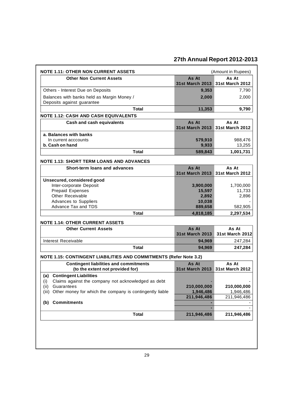| <b>Other Non Current Assets</b>                                                                                    | As At                           | (Amount in Rupees)<br>As At             |
|--------------------------------------------------------------------------------------------------------------------|---------------------------------|-----------------------------------------|
|                                                                                                                    | 31st March 2013 31st March 2012 |                                         |
|                                                                                                                    |                                 |                                         |
| Others - Interest Due on Deposits                                                                                  | 9,353                           | 7,790                                   |
| Balances with banks held as Margin Money /<br>Deposits against guarantee                                           | 2,000                           | 2.000                                   |
| <b>Total</b>                                                                                                       | 11,353                          | 9,790                                   |
| <b>NOTE 1.12: CASH AND CASH EQUIVALENTS</b>                                                                        |                                 |                                         |
| Cash and cash equivalents                                                                                          | As At                           | As At                                   |
|                                                                                                                    | <b>31st March 2013</b>          | 31st March 2012                         |
| a. Balances with banks                                                                                             |                                 |                                         |
| In current acccounts                                                                                               | 579,910                         | 988,476                                 |
| b. Cash on hand                                                                                                    | 9,933                           | 13,255                                  |
| Total                                                                                                              | 589,843                         | 1,001,731                               |
| <b>NOTE 1.13: SHORT TERM LOANS AND ADVANCES</b>                                                                    |                                 |                                         |
| Short-term loans and advances                                                                                      | As At                           | As At                                   |
|                                                                                                                    | <b>31st March 2013</b>          | 31st March 2012                         |
| Unsecured, considered good                                                                                         |                                 |                                         |
| Inter-corporate Deposit                                                                                            | 3,900,000                       | 1,700,000                               |
| Prepaid Expenses                                                                                                   | 15,597                          | 11,733                                  |
| Other Receivable                                                                                                   | 2,892                           | 2,896                                   |
| Advances to Suppliers                                                                                              | 10,038                          |                                         |
| Advance Tax and TDS                                                                                                | 889,658                         | 582,905                                 |
| Total                                                                                                              | 4,818,185                       | 2,297,534                               |
| <b>NOTE 1.14: OTHER CURRENT ASSETS</b>                                                                             |                                 |                                         |
| <b>Other Current Assets</b>                                                                                        | As At                           | As At                                   |
|                                                                                                                    | <b>31st March 2013</b>          | 31st March 2012                         |
| Interest Receivable                                                                                                | 94,969                          | 247,284                                 |
| Total                                                                                                              | 94,969                          | 247,284                                 |
| <b>NOTE 1.15: CONTINGENT LIABILITIES AND COMMITMENTS (Refer Note 3.2)</b>                                          |                                 |                                         |
| <b>Contingent liabilities and commitments</b>                                                                      | As At                           | As At                                   |
|                                                                                                                    | <b>31st March 2013</b>          | <b>31st March 2012</b>                  |
| (to the extent not provided for)                                                                                   |                                 |                                         |
|                                                                                                                    |                                 |                                         |
|                                                                                                                    |                                 |                                         |
| Claims against the company not acknowledged as debt<br>Guarantees                                                  |                                 |                                         |
|                                                                                                                    | 210,000,000                     |                                         |
|                                                                                                                    | 1,946,486                       |                                         |
| <b>Commitments</b>                                                                                                 | 211,946,486                     |                                         |
| (a) Contingent Liabilities<br>(i)<br>(ii)<br>(iii) Other money for which the company is contingently liable<br>(b) |                                 | 210,000,000<br>1,946,486<br>211,946,486 |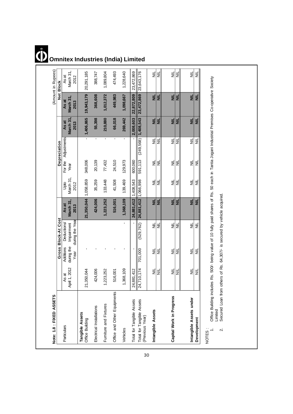**Omnitex Industries (India) Limited**

| Note: 1.8 : FIXED ASSETS                                                                                                                                                                                             |                           | Gross           | <b>Block-At Cost</b>                     |                      |                 |                 | Depreciation   |           |            | (Amount in Rupees)<br>Net Block |  |
|----------------------------------------------------------------------------------------------------------------------------------------------------------------------------------------------------------------------|---------------------------|-----------------|------------------------------------------|----------------------|-----------------|-----------------|----------------|-----------|------------|---------------------------------|--|
| Particulars                                                                                                                                                                                                          | As at                     | Additions       | Deductions/                              | As at                | Upto            | For the         | Adjustments    | As at     | As at      | ಕ<br>Ä                          |  |
|                                                                                                                                                                                                                      | April 1, 2012             | during the      | Impairment                               | March 31,            | March 31,       | Year            |                | March 31, | March 31,  | March 31,                       |  |
|                                                                                                                                                                                                                      |                           | Year            | during the Yea                           | 2013                 | 2012            |                 |                | 2013      | 2013       | 2012                            |  |
| Tangible Assets<br>Office Building                                                                                                                                                                                   | 21,350,044                |                 |                                          | 21,350,044           | 1,058,859       | 348,006         | $\mathbf{r}$   | 1,406,865 | 19,943,179 | 20,291,185                      |  |
| Electrical Installations                                                                                                                                                                                             | 424,006                   |                 |                                          | 424,006              | 35,259          | 20,139          | $\blacksquare$ | 55,398    | 368,608    | 388,747                         |  |
| Furniture and Fixtures                                                                                                                                                                                               | 1,223,252                 |                 |                                          | 1,223,252            | 133,448         | 77,432          | $\mathbf{r}$   | 210,880   | 1,012,372  | 1,089,804                       |  |
| Office and Other Equipments                                                                                                                                                                                          | 516,001                   |                 |                                          | 516,001              | 41,508          | 24,510          | $\blacksquare$ | 66,018    | 449,983    | 474,493                         |  |
| Vehicles                                                                                                                                                                                                             | 1,368,109                 |                 |                                          | 1,368,109            | 139,469         | 129,973         |                | 269,442   | 1,098,667  | 1,228,640                       |  |
| Total for Tangible Assets                                                                                                                                                                                            | 24,881,412                |                 |                                          | 24,881,412           | 1,408,543       | 600,060         |                | 2,008,603 | 22,872,809 | 23,472,869                      |  |
| Total for Tangible Assets<br>(Previous Year)                                                                                                                                                                         | 24,710,174                | 701,000         | (529, 762)                               | 24,881,412 1,066,998 |                 | 591,113         | (249, 568)     | 1,408,543 | 23,472,869 | 23,643,176                      |  |
| Intangible Assets                                                                                                                                                                                                    | $\bar{\bar{z}}$           | $\bar{\bar{z}}$ | $\bar{\bar{z}}$                          | $\equiv$             | $\bar{\bar{z}}$ | ž               | ž              | ž         | $\bar{z}$  | ŧ                               |  |
|                                                                                                                                                                                                                      | ₹                         | ₹               | $\bar{\bar{z}}$                          | $\bar{\bar{z}}$      | ₹               | ₹               | ₹              | ž         | Ξ          | $\equiv$                        |  |
| Capital Work in Progress                                                                                                                                                                                             | $\equiv$                  | $\equiv$        | $\equiv$                                 | $\equiv$             | $\equiv$        | $\equiv$        | $\equiv$       | ž         | ₹          | $\equiv$                        |  |
|                                                                                                                                                                                                                      | ₹                         | ΙĒ              | E                                        | E                    | Ξ               | E               | $\equiv$       | 틸         | 틔          | E                               |  |
| Intangible Assets under                                                                                                                                                                                              | $\overline{\overline{z}}$ | $\bar{\bar{z}}$ | $\equiv$                                 | $\equiv$             | $\equiv$        | $\bar{\bar{z}}$ | $\equiv$       | 를         | ž          | $\equiv$                        |  |
| Development                                                                                                                                                                                                          | $\bar{z}$                 | Ξ               | $\equiv$                                 | $\bar{z}$            | ₹               | ₹               | $\equiv$       | $\bar{z}$ | ž          | 訓                               |  |
| Office Building includes Rs. 500/- being value of 10 fully paid shares of Rs. 50 each in Tantia Jogani Industrial Premises Co-operative Society<br>Secured Loan from<br>Limited<br>$\overline{\mathbf{v}}$<br>NOTES: | others of Rs.             |                 | 64,307/- is secured by vehicle acquired. |                      |                 |                 |                |           |            |                                 |  |
|                                                                                                                                                                                                                      |                           |                 |                                          |                      |                 |                 |                |           |            |                                 |  |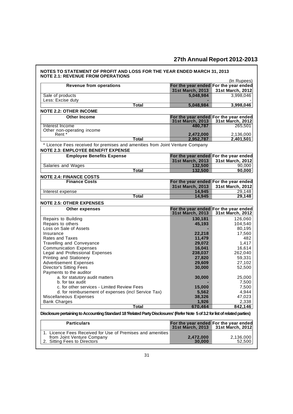|                                                                                                                              |                                                           | (In Rupees)      |
|------------------------------------------------------------------------------------------------------------------------------|-----------------------------------------------------------|------------------|
| <b>Revenue from operations</b>                                                                                               | For the year ended For the year ended                     |                  |
|                                                                                                                              | 31st March, 2013<br>5,048,984                             | 31st March, 2012 |
| Sale of products<br>Less: Excise duty                                                                                        |                                                           | 3,998,046        |
| <b>Total</b>                                                                                                                 | 5,048,984                                                 | 3,998,046        |
| <b>NOTE 2.2: OTHER INCOME</b>                                                                                                |                                                           |                  |
| <b>Other Income</b>                                                                                                          | For the year ended For the year ended                     |                  |
|                                                                                                                              | 31st March, 2013                                          | 31st March, 2012 |
| Interest Income                                                                                                              | 480,787                                                   | 265,501          |
| Other non-operating income                                                                                                   |                                                           |                  |
| Rent *<br><b>Total</b>                                                                                                       | 2,472,000                                                 | 2,136,000        |
|                                                                                                                              | 2,952,787                                                 | 2,401,501        |
| * Licence Fees received for premises and amenities from Joint Venture Company<br><b>NOTE 2.3: EMPLOYEE BENEFIT EXPENSE</b>   |                                                           |                  |
| <b>Employee Benefits Expense</b>                                                                                             | For the year ended For the year ended                     |                  |
|                                                                                                                              | 31st March, 2013                                          | 31st March, 2012 |
| Salaries and Wages                                                                                                           | 132,500                                                   | 90,000           |
| Total                                                                                                                        | 132,500                                                   | 90,000           |
| <b>NOTE 2.4: FINANCE COSTS</b>                                                                                               |                                                           |                  |
| <b>Finance Costs</b>                                                                                                         | For the year ended For the year ended                     |                  |
|                                                                                                                              | 31st March, 2013                                          | 31st March, 2012 |
| Interest expense                                                                                                             | 14,945                                                    | 29,148           |
| Total                                                                                                                        | 14,945                                                    | 29,148           |
| <b>NOTE 2.5: OTHER EXPENSES</b>                                                                                              |                                                           |                  |
| <b>Other expenses</b>                                                                                                        | For the year ended For the year ended                     |                  |
|                                                                                                                              | 31st March, 2013                                          | 31st March, 2012 |
| Repairs to Building                                                                                                          | 130,181                                                   | 126,060          |
| Repairs to others                                                                                                            | 45,193                                                    | 104,540          |
| Loss on Sale of Assets                                                                                                       |                                                           | 80,195           |
| Insurance                                                                                                                    | 22,218                                                    | 17,560           |
| Rates and Taxes                                                                                                              | 11,479                                                    | 482              |
| Travelling and Conveyance                                                                                                    | 29,072                                                    | 1,417            |
| <b>Communication Expenses</b>                                                                                                | 16,041                                                    | 16,614           |
| Legal and Professional Expenses                                                                                              | 238,037                                                   | 262,040          |
| Printing and Stationery<br><b>Advertisement Expenses</b>                                                                     | 27,820                                                    | 59,331           |
| <b>Director's Sitting Fees</b>                                                                                               | 29,609<br>30,000                                          | 27,102           |
| Payments to the auditor                                                                                                      |                                                           | 52,500           |
| a. for statutory audit matters                                                                                               | 30,000                                                    | 25,000           |
| b. for tax audit                                                                                                             |                                                           | 7,500            |
| c. for other services - Limited Review Fees                                                                                  | 15,000                                                    | 7,500            |
| d. for reimbursement of expenses (incl Service Tax)                                                                          | 5,562                                                     | 4,944            |
| Miscellaneous Expenses                                                                                                       | 38,326                                                    | 47,023           |
| <b>Bank Charges</b>                                                                                                          | 1,926                                                     | 2,338            |
| Total                                                                                                                        | 670,464                                                   | 842,146          |
| Disclosure pertaining to Accounting Standard 18 Related Party Disclosures' (Refer Note 5 of 3.2 for list of related parties) |                                                           |                  |
|                                                                                                                              |                                                           |                  |
| <b>Particulars</b>                                                                                                           | For the year ended For the year ended<br>31st March, 2013 | 31st March, 2012 |
| 1. Licence Fees Received for Use of Premises and amenities                                                                   |                                                           |                  |
| from Joint Venture Company                                                                                                   | 2,472,000                                                 | 2,136,000        |
| 2. Sitting Fees to Directors                                                                                                 | 30,000                                                    | 52,500           |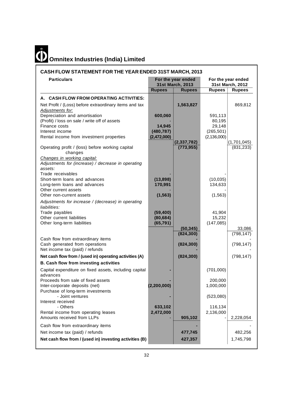| CASH FLOW STATEMENT FOR THE YEAR ENDED 31ST MARCH, 2013                    |               |                                        |               |                                        |
|----------------------------------------------------------------------------|---------------|----------------------------------------|---------------|----------------------------------------|
| <b>Particulars</b>                                                         |               | For the year ended<br>31st March, 2013 |               | For the year ended<br>31st March, 2012 |
|                                                                            | <b>Rupees</b> | <b>Rupees</b>                          | <b>Rupees</b> | <b>Rupees</b>                          |
| A. CASH FLOW FROM OPERATING ACTIVITIES:                                    |               |                                        |               |                                        |
| Net Profit / (Loss) before extraordinary items and tax<br>Adjustments for: |               | 1,563,827                              |               | 869,812                                |
| Depreciation and amortisation                                              | 600,060       |                                        | 591,113       |                                        |
| (Profit) / loss on sale / write off of assets                              |               |                                        | 80,195        |                                        |
| Finance costs                                                              | 14,945        |                                        | 29,148        |                                        |
| Interest income                                                            | (480, 787)    |                                        | (265, 501)    |                                        |
| Rental income from investment properties                                   | (2,472,000)   |                                        | (2, 136, 000) |                                        |
|                                                                            |               | (2, 337, 782)                          |               | (1,701,045)                            |
| Operating profit / (loss) before working capital<br>changes                |               | (773, 955)                             |               | (831, 233)                             |
| Changes in working capital:                                                |               |                                        |               |                                        |
| Adjustments for (increase) / decrease in operating<br>assets:              |               |                                        |               |                                        |
| Trade receivables                                                          |               |                                        |               |                                        |
| Short-term loans and advances                                              | (13,898)      |                                        | (10, 035)     |                                        |
| Long-term loans and advances                                               | 170,991       |                                        | 134,633       |                                        |
| Other current assets                                                       |               |                                        |               |                                        |
| Other non-current assets                                                   | (1, 563)      |                                        | (1, 563)      |                                        |
| Adjustments for increase / (decrease) in operating<br>liabilities:         |               |                                        |               |                                        |
| Trade payables                                                             | (59, 400)     |                                        | 41,904        |                                        |
| Other current liabilities                                                  | (80, 684)     |                                        | 15,232        |                                        |
| Other long-term liabilities                                                | (65, 791)     |                                        | (147, 085)    |                                        |
|                                                                            |               | (50, 345)<br>(824, 300)                |               | 33,086<br>(798, 147)                   |
| Cash flow from extraordinary items                                         |               |                                        |               |                                        |
| Cash generated from operations<br>Net income tax (paid) / refunds          |               | (824, 300)                             |               | (798, 147)                             |
| Net cash flow from / (used in) operating activities (A)                    |               | (824, 300)                             |               | (798, 147)                             |
| <b>B. Cash flow from investing activities</b>                              |               |                                        |               |                                        |
| Capital expenditure on fixed assets, including capital<br>advances         |               |                                        | (701,000)     |                                        |
| Proceeds from sale of fixed assets                                         |               |                                        | 200,000       |                                        |
| Inter-corporate deposits (net)                                             | (2, 200, 000) |                                        | 1,000,000     |                                        |
| Purchase of long-term investments                                          |               |                                        |               |                                        |
| - Joint ventures                                                           |               |                                        | (523,080)     |                                        |
| Interest received                                                          |               |                                        |               |                                        |
| - Others                                                                   | 633,102       |                                        | 116,134       |                                        |
| Rental income from operating leases                                        | 2,472,000     |                                        | 2,136,000     |                                        |
| Amounts received from LLPs                                                 |               | 905,102                                |               | 2,228,054                              |
| Cash flow from extraordinary items                                         |               |                                        |               |                                        |
| Net income tax (paid) / refunds                                            |               | 477,745                                |               | 482,256                                |
|                                                                            |               |                                        |               |                                        |
| Net cash flow from / (used in) investing activities (B)                    |               | 427,357                                |               | 1,745,798                              |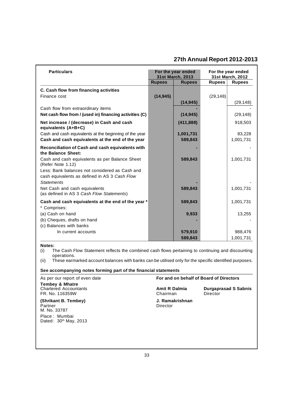| <b>Particulars</b>                                                                                                   | For the year ended<br>31st March, 2013 |               |               | For the year ended<br>31st March, 2012 |
|----------------------------------------------------------------------------------------------------------------------|----------------------------------------|---------------|---------------|----------------------------------------|
|                                                                                                                      | <b>Rupees</b>                          | <b>Rupees</b> | <b>Rupees</b> | <b>Rupees</b>                          |
| C. Cash flow from financing activities                                                                               |                                        |               |               |                                        |
| Finance cost                                                                                                         | (14, 945)                              |               | (29, 148)     |                                        |
|                                                                                                                      |                                        | (14, 945)     |               | (29, 148)                              |
| Cash flow from extraordinary items                                                                                   |                                        |               |               |                                        |
| Net cash flow from / (used in) financing activities (C)                                                              |                                        | (14, 945)     |               | (29, 148)                              |
| Net increase / (decrease) in Cash and cash<br>equivalents (A+B+C)                                                    |                                        | (411, 888)    |               | 918,503                                |
| Cash and cash equivalents at the beginning of the year                                                               |                                        | 1,001,731     |               | 83,228                                 |
| Cash and cash equivalents at the end of the year                                                                     |                                        | 589,843       |               | 1,001,731                              |
| Reconciliation of Cash and cash equivalents with<br>the Balance Sheet:                                               |                                        |               |               |                                        |
| Cash and cash equivalents as per Balance Sheet<br>(Refer Note 1.12)                                                  |                                        | 589,843       |               | 1,001,731                              |
| Less: Bank balances not considered as Cash and<br>cash equivalents as defined in AS 3 Cash Flow<br><b>Statements</b> |                                        |               |               |                                        |
| Net Cash and cash equivalents<br>(as defined in AS 3 Cash Flow Statements)                                           |                                        | 589,843       |               | 1,001,731                              |
| Cash and cash equivalents at the end of the year *<br>* Comprises:                                                   |                                        | 589,843       |               | 1,001,731                              |
| (a) Cash on hand                                                                                                     |                                        | 9,933         |               | 13,255                                 |
| (b) Cheques, drafts on hand                                                                                          |                                        |               |               |                                        |
| (c) Balances with banks                                                                                              |                                        |               |               |                                        |
| In current accounts                                                                                                  |                                        | 579,910       |               | 988,476                                |
|                                                                                                                      |                                        | 589,843       |               | 1,001,731                              |

#### **Notes:**

M. No. 33787 Place : Mumbai Dated: 30<sup>th</sup> May, 2013

(i) The Cash Flow Statement reflects the combined cash flows pertaining to continuing and discounting operations.

(ii) These earmarked account balances with banks can be utilised only for the specific identified purposes.

#### **See accompanying notes forming part of the financial statements**

| As per our report of even date                                                |                                  | For and on behalf of Board of Directors |
|-------------------------------------------------------------------------------|----------------------------------|-----------------------------------------|
| <b>Tembey &amp; Mhatre</b><br><b>Chartered Accountants</b><br>FR. No. 116359W | <b>Amit R Dalmia</b><br>Chairman | <b>Durgaprasad S Sabnis</b><br>Director |
| (Shrikant B. Tembey)<br>Partner                                               | J. Ramakrishnan<br>Director      |                                         |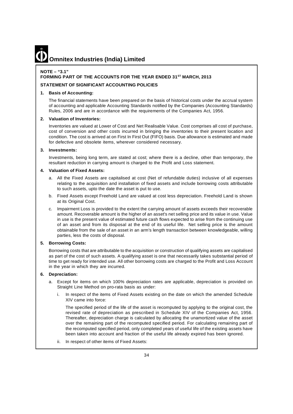#### **NOTE – "3.1"**

#### **FORMING PART OF THE ACCOUNTS FOR THE YEAR ENDED 31ST MARCH, 2013**

#### **STATEMENT OF SIGNIFICANT ACCOUNTING POLICIES**

#### **1. Basis of Accounting:**

The financial statements have been prepared on the basis of historical costs under the accrual system of accounting and applicable Accounting Standards notified by the Companies (Accounting Standards) Rules, 2006 and are in accordance with the requirements of the Companies Act, 1956.

#### **2. Valuation of Inventories:**

Inventories are valued at Lower of Cost and Net Realisable Value. Cost comprises all cost of purchase, cost of conversion and other costs incurred in bringing the inventories to their present location and condition. The cost is arrived at on First In First Out (FIFO) basis. Due allowance is estimated and made for defective and obsolete items, wherever considered necessary.

#### **3. Investments:**

Investments, being long term, are stated at cost; where there is a decline, other than temporary, the resultant reduction in carrying amount is charged to the Profit and Loss statement.

#### **4. Valuation of Fixed Assets:**

- a. All the Fixed Assets are capitalised at cost (Net of refundable duties) inclusive of all expenses relating to the acquisition and installation of fixed assets and include borrowing costs attributable to such assets, upto the date the asset is put to use.
- b. Fixed Assets except Freehold Land are valued at cost less depreciation. Freehold Land is shown at its Original Cost.
- c. Impairment Loss is provided to the extent the carrying amount of assets exceeds their recoverable amount. Recoverable amount is the higher of an asset's net selling price and its value in use. Value in use is the present value of estimated future cash flows expected to arise from the continuing use of an asset and from its disposal at the end of its useful life. Net selling price is the amount obtainable from the sale of an asset in an arm's length transaction between knowledgeable, willing parties, less the costs of disposal.

#### **5. Borrowing Costs:**

Borrowing costs that are attributable to the acquisition or construction of qualifying assets are capitalised as part of the cost of such assets. A qualifying asset is one that necessarily takes substantial period of time to get ready for intended use. All other borrowing costs are charged to the Profit and Loss Account in the year in which they are incurred.

#### **6. Depreciation:**

- a. Except for items on which 100% depreciation rates are applicable, depreciation is provided on Straight Line Method on pro-rata basis as under:
	- i. In respect of the items of Fixed Assets existing on the date on which the amended Schedule XIV came into force:

The specified period of the life of the asset is recomputed by applying to the original cost, the revised rate of depreciation as prescribed in Schedule XIV of the Companies Act, 1956. Thereafter, depreciation charge is calculated by allocating the unamortized value of the asset over the remaining part of the recomputed specified period. For calculating remaining part of the recomputed specified period, only completed years of useful life of the existing assets have been taken into account and fraction of the useful life already expired has been ignored.

ii. In respect of other items of Fixed Assets: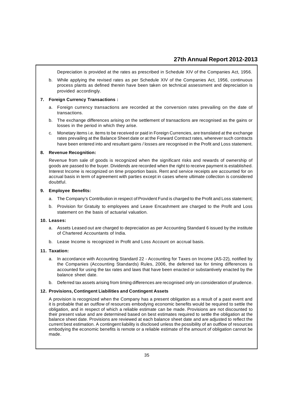Depreciation is provided at the rates as prescribed in Schedule XIV of the Companies Act, 1956.

b. While applying the revised rates as per Schedule XIV of the Companies Act, 1956, continuous process plants as defined therein have been taken on technical assessment and depreciation is provided accordingly.

#### **7. Foreign Currency Transactions :**

- a. Foreign currency transactions are recorded at the conversion rates prevailing on the date of transactions.
- b. The exchange differences arising on the settlement of transactions are recognised as the gains or losses in the period in which they arise.
- c. Monetary items i.e. items to be received or paid in Foreign Currencies, are translated at the exchange rates prevailing at the Balance Sheet date or at the Forward Contract rates, wherever such contracts have been entered into and resultant gains / losses are recognised in the Profit and Loss statement.

#### **8. Revenue Recognition:**

Revenue from sale of goods is recognized when the significant risks and rewards of ownership of goods are passed to the buyer. Dividends are recorded when the right to receive payment is established. Interest Income is recognized on time proportion basis. Rent and service receipts are accounted for on accrual basis in term of agreement with parties except in cases where ultimate collection is considered doubtful.

#### **9. Employee Benefits:**

- a. The Company's Contribution in respect of Provident Fund is charged to the Profit and Loss statement;
- b. Provision for Gratuity to employees and Leave Encashment are charged to the Profit and Loss statement on the basis of actuarial valuation.

#### **10. Leases:**

- a. Assets Leased out are charged to depreciation as per Accounting Standard 6 issued by the institute of Chartered Accountants of India.
- b. Lease Income is recognized in Profit and Loss Account on accrual basis.

#### **11. Taxation:**

- a. In accordance with Accounting Standard 22 Accounting for Taxes on Income (AS-22), notified by the Companies (Accounting Standards) Rules, 2006, the deferred tax for timing differences is accounted for using the tax rates and laws that have been enacted or substantively enacted by the balance sheet date.
- b. Deferred tax assets arising from timing differences are recognised only on consideration of prudence.

#### **12. Provisions, Contingent Liabilities and Contingent Assets**

A provision is recognized when the Company has a present obligation as a result of a past event and it is probable that an outflow of resources embodying economic benefits would be required to settle the obligation, and in respect of which a reliable estimate can be made. Provisions are not discounted to their present value and are determined based on best estimates required to settle the obligation at the balance sheet date. Provisions are reviewed at each balance sheet date and are adjusted to reflect the current best estimation. A contingent liability is disclosed unless the possibility of an outflow of resources embodying the economic benefits is remote or a reliable estimate of the amount of obligation cannot be made.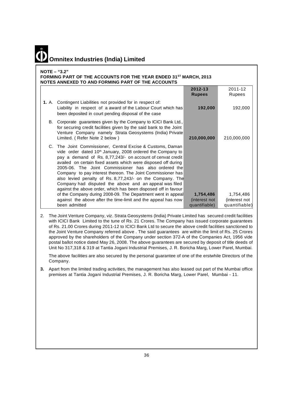#### **NOTE – "3.2" FORMING PART OF THE ACCOUNTS FOR THE YEAR ENDED 31ST MARCH, 2013 NOTES ANNEXED TO AND FORMING PART OF THE ACCOUNTS**

|       |                                                                                                                                                                                                                                                                                                                                                                                                                                                                                                                                                                            | 2012-13       | 2011-12                        |
|-------|----------------------------------------------------------------------------------------------------------------------------------------------------------------------------------------------------------------------------------------------------------------------------------------------------------------------------------------------------------------------------------------------------------------------------------------------------------------------------------------------------------------------------------------------------------------------------|---------------|--------------------------------|
|       |                                                                                                                                                                                                                                                                                                                                                                                                                                                                                                                                                                            | <b>Rupees</b> | Rupees                         |
| 1. A. | Contingent Liabilities not provided for in respect of:<br>Liability in respect of a award of the Labour Court which has<br>been deposited in court pending disposal of the case                                                                                                                                                                                                                                                                                                                                                                                            | 192,000       | 192,000                        |
| B.    | Corporate guarantees given by the Company to ICICI Bank Ltd.,<br>for securing credit facilities given by the said bank to the Joint<br>Venture Company namely Strata Geosystems (India) Private<br>Limited. (Refer Note 2 below)                                                                                                                                                                                                                                                                                                                                           | 210,000,000   | 210,000,000                    |
|       | C. The Joint Commissioner, Central Excise & Customs, Daman<br>vide order dated $10th$ January, 2008 ordered the Company to<br>pay a demand of Rs. 8,77,243/- on account of cenvat credit<br>availed on certain fixed assets which were disposed off during<br>2005-06. The Joint Commissioner has also ordered the<br>Company to pay interest thereon. The Joint Commissioner has<br>also levied penalty of Rs. 8,77,243/- on the Company. The<br>Company had disputed the above and an appeal was filed<br>against the above order, which has been disposed off in favour |               |                                |
|       | of the Company during 2008-09. The Department went in appeal                                                                                                                                                                                                                                                                                                                                                                                                                                                                                                               | 1,754,486     | 1,754,486                      |
|       | against the above after the time-limit and the appeal has now<br>been admitted                                                                                                                                                                                                                                                                                                                                                                                                                                                                                             | (interest not | (interest not<br>quantifiable) |
|       |                                                                                                                                                                                                                                                                                                                                                                                                                                                                                                                                                                            | quantifiable) |                                |

2. The Joint Venture Company, viz. Strata Geosystems (India) Private Limited has secured credit facilities with ICICI Bank Limited to the tune of Rs. 21 Crores. The Company has issued corporate guarantees of Rs. 21.00 Crores during 2011-12 to ICICI Bank Ltd to secure the above credit facilities sanctioned to the Joint Venture Company referred above . The said guarantees are within the limit of Rs. 25 Crores approved by the shareholders of the Company under section 372-A of the Companies Act, 1956 vide postal ballot notice dated May 26, 2008. The above guarantees are secured by deposit of title deeds of Unit No 317,318 & 319 at Tantia Jogani Industrial Premises, J. R. Boricha Marg, Lower Parel, Mumbai.

The above facilities are also secured by the personal guarantee of one of the erstwhile Directors of the Company.

**3.** Apart from the limited trading activities, the management has also leased out part of the Mumbai office premises at Tantia Jogani Industrial Premises, J. R. Boricha Marg, Lower Parel, Mumbai - 11.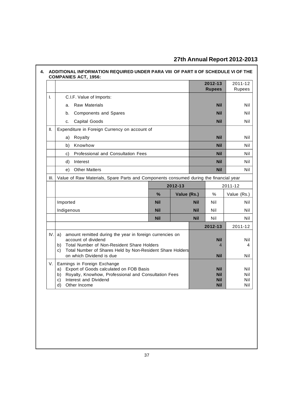|      |                                                                                                                                                                                                           |            |             |            | 2012-13<br><b>Rupees</b>     | 2011-12<br>Rupees |
|------|-----------------------------------------------------------------------------------------------------------------------------------------------------------------------------------------------------------|------------|-------------|------------|------------------------------|-------------------|
| I.   | C.I.F. Value of Imports:                                                                                                                                                                                  |            |             |            |                              |                   |
|      | <b>Raw Materials</b><br>$a_{-}$                                                                                                                                                                           |            |             |            | <b>Nil</b>                   | Nil               |
|      | <b>Components and Spares</b><br>b.                                                                                                                                                                        |            |             |            | <b>Nil</b>                   | Nil               |
|      | Capital Goods<br>c.                                                                                                                                                                                       |            |             |            | <b>Nil</b>                   | Nil               |
| Ⅱ.   | Expenditure in Foreign Currency on account of                                                                                                                                                             |            |             |            |                              |                   |
|      | Royalty<br>a)                                                                                                                                                                                             |            |             |            | <b>Nil</b>                   | Nil               |
|      | Knowhow<br>b)                                                                                                                                                                                             |            |             |            | <b>Nil</b>                   | Nil               |
|      | Professional and Consultation Fees<br>C)                                                                                                                                                                  |            |             |            | <b>Nil</b>                   | Nil               |
|      | Interest<br>d)                                                                                                                                                                                            |            |             |            | <b>Nil</b>                   | Nil               |
|      | <b>Other Matters</b><br>e)                                                                                                                                                                                |            |             |            | <b>Nil</b>                   | Nil               |
| III. | Value of Raw Materials, Spare Parts and Components consumed during the financial year                                                                                                                     |            |             |            |                              |                   |
|      |                                                                                                                                                                                                           |            | 2012-13     |            |                              | 2011-12           |
|      |                                                                                                                                                                                                           | $\%$       | Value (Rs.) |            | %                            | Value (Rs.)       |
|      | Imported                                                                                                                                                                                                  | <b>Nil</b> |             | <b>Nil</b> | Nil                          | Nil               |
|      | Indigenous                                                                                                                                                                                                | <b>Nil</b> |             | <b>Nil</b> | Nil                          | Nil               |
|      |                                                                                                                                                                                                           | <b>Nil</b> |             | <b>Nil</b> | Nil                          | Nil               |
|      |                                                                                                                                                                                                           |            |             |            | 2012-13                      | 2011-12           |
| IV.  | a)<br>amount remitted during the year in foreign currencies on<br>account of dividend<br>b) Total Number of Non-Resident Share Holders<br>Total Number of Shares Held by Non-Resident Share Holders<br>C) |            |             |            | <b>Nil</b><br>$\overline{4}$ | Nil               |
|      | on which Dividend is due                                                                                                                                                                                  |            |             |            | <b>Nil</b>                   | Nil               |
| V.   | Earnings in Foreign Exchange                                                                                                                                                                              |            |             |            |                              |                   |
|      | Export of Goods calculated on FOB Basis<br>a)<br>Royalty, Knowhow, Professional and Consultation Fees<br>b)                                                                                               |            |             |            | <b>Nil</b><br><b>Nil</b>     | Nil<br>Nil        |
|      | Interest and Dividend<br>C)                                                                                                                                                                               |            |             |            | <b>Nil</b>                   | Nil               |
|      | Other Income<br>d)                                                                                                                                                                                        |            |             |            | <b>Nil</b>                   | Nil               |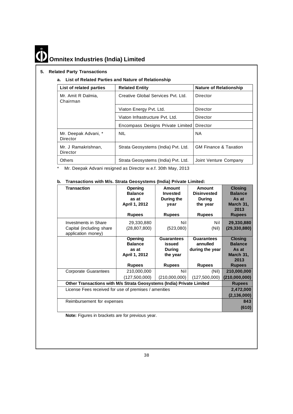

#### **5. Related Party Transactions**

**a. List of Related Parties and Nature of Relationship**

| List of related parties          | <b>Related Entity</b>               | <b>Nature of Relationship</b>    |
|----------------------------------|-------------------------------------|----------------------------------|
| Mr. Amit R Dalmia,<br>Chairman   | Creative Global Services Pyt. Ltd.  | Director                         |
|                                  | Viaton Energy Pyt. Ltd.             | Director                         |
|                                  | Viaton Infrastructure Pvt. Ltd.     | Director                         |
|                                  | Encompass Designs Private Limited   | Director                         |
| Mr. Deepak Advani, *<br>Director | <b>NIL</b>                          | <b>NA</b>                        |
| Mr. J Ramakrishnan,<br>Director  | Strata Geosystems (India) Pvt. Ltd. | <b>GM Finance &amp; Taxation</b> |
| Others                           | Strata Geosystems (India) Pvt. Ltd. | Joint Venture Company            |

\* Mr. Deepak Advani resigned as Director w.e.f. 30th May, 2013

#### **b. Transactions with M/s. Strata Geosystems (India) Private Limited:**

| <b>Transaction</b>                                                     | Opening<br><b>Balance</b><br>as at<br>April 1, 2012<br><b>Rupees</b> | Amount<br><b>Invested</b><br>During the<br>year<br><b>Rupees</b> | Amount<br><b>Disinvested</b><br>During<br>the year<br><b>Rupees</b> | <b>Closing</b><br><b>Balance</b><br>As at<br>March 31,<br>2013<br><b>Rupees</b> |  |  |  |
|------------------------------------------------------------------------|----------------------------------------------------------------------|------------------------------------------------------------------|---------------------------------------------------------------------|---------------------------------------------------------------------------------|--|--|--|
| Investments in Share<br>Capital (including share<br>application money) | 29,330,880<br>(28, 807, 800)                                         | Nil<br>(523,080)                                                 | Nil<br>(Nil)                                                        | 29,330,880<br>(29, 330, 880)                                                    |  |  |  |
|                                                                        | Opening<br><b>Balance</b><br>as at<br>April 1, 2012                  | <b>Guarantees</b><br>issued<br><b>During</b><br>the year         | <b>Guarantees</b><br>annulled<br>during the year                    | <b>Closing</b><br><b>Balance</b><br>As at<br>March 31,<br>2013                  |  |  |  |
| Corporate Guarantees                                                   | <b>Rupees</b><br>210,000,000<br>(127,500,000)                        | <b>Rupees</b><br>Nil<br>(210,000,000)                            | <b>Rupees</b><br>(Nil)<br>(127,500,000)                             | <b>Rupees</b><br>210,000,000<br>(210,000,000)                                   |  |  |  |
| Other Transactions with M/s Strata Geosystems (India) Private Limited  |                                                                      |                                                                  |                                                                     | <b>Rupees</b>                                                                   |  |  |  |
|                                                                        | License Fees received for use of premises / amenities                |                                                                  |                                                                     |                                                                                 |  |  |  |
| Reimbursement for expenses                                             |                                                                      |                                                                  |                                                                     | 843<br>(610)                                                                    |  |  |  |

**Note:** Figures in brackets are for previous year.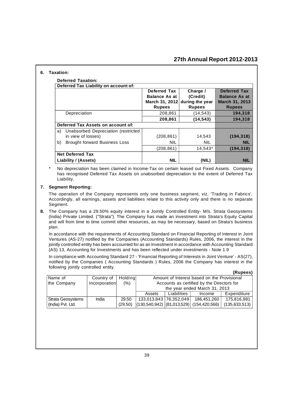#### **6. Taxation:**

#### **Deferred Taxation:**

| Deferred Taxation.                         |                      |                 |                       |
|--------------------------------------------|----------------------|-----------------|-----------------------|
| Deferred Tax Liability on account of:      |                      |                 |                       |
|                                            | <b>Deferred Tax</b>  | Charge /        | <b>Deferred Tax</b>   |
|                                            | <b>Balance As at</b> | (Credit)        | <b>Balance As at</b>  |
|                                            | March 31, 2012       | during the year | <b>March 31, 2013</b> |
|                                            | <b>Rupees</b>        | <b>Rupees</b>   | <b>Rupees</b>         |
| Depreciation                               | 208,861              | (14, 543)       | 194,318               |
|                                            | 208,861              | (14, 543)       | 194,318               |
| Deferred Tax Assets on account of:         |                      |                 |                       |
| Unabsorbed Depreciation (restricted<br>a)  |                      |                 |                       |
| in view of losses)                         | (208,861)            | 14,543          | (194, 318)            |
| <b>Brought forward Business Loss</b><br>b) | <b>NIL</b>           | NIL.            | <b>NIL</b>            |
|                                            | (208,861)            | 14,543*         | (194, 318)            |
| <b>Net Deferred Tax</b>                    |                      |                 |                       |
| Liability / (Assets)                       | <b>NIL</b>           | (NIL)           | <b>NIL</b>            |

No depreciation has been claimed in Income-Tax on certain leased out Fixed Assets. Company has recognised Deferred Tax Assets on unabsorbed depreciation to the extent of Deferred Tax Liability.

#### **7. Segment Reporting:**

The operation of the Company represents only one business segment, viz. 'Trading in Fabrics'. Accordingly, all earnings, assets and liabilities relate to this activity only and there is no separate Segment.

**8.** The Company has a 29.50% equity interest in a Jointly Controlled Entity- M/s. Strata Geosystems (India) Private Limited. ("Strata"). The Company has made an investment into Strata's Equity Capital and will from time to time commit other resources, as may be necessary, based on Strata's business plan.

In accordance with the requirements of Accounting Standard on Financial Reporting of Interest in Joint Ventures (AS-27) notified by the Companies (Accounting Standards) Rules, 2006, the interest in the jointly controlled entity has been accounted for as an Investment in accordance with Accounting Standard (AS) 13, Accounting for Investments and has been reflected under investments - Note 1.9

In compliance with Accounting Standard 27 - 'Financial Reporting of Interests in Joint Venture' - AS(27), notified by the Companies ( Accounting Standards ) Rules, 2006 the Company has interest in the following jointly controlled entity. **(Rupees)**

|                          |               |         |                                            |             |                                             | (Rupees)        |
|--------------------------|---------------|---------|--------------------------------------------|-------------|---------------------------------------------|-----------------|
| Name of                  | Country of    | Holding |                                            |             | Amount of Interest based on the Provisional |                 |
| the Company              | Incorporation | (9/6)   | Accounts as certified by the Directors for |             |                                             |                 |
|                          |               |         |                                            |             | the year ended March 31, 2013               |                 |
|                          |               |         | Assets                                     | Liabilities | Income                                      | Expenditure     |
| <b>Strata Geosystems</b> | India         | 29.50   | 133,013,843 76,352,049                     |             | 186.451.260                                 | 175,816,981     |
| (India) Pvt. Ltd.        |               | (29.50) | (130, 540, 942)   (81, 013, 529)           |             | (154, 420, 566)                             | (135, 633, 513) |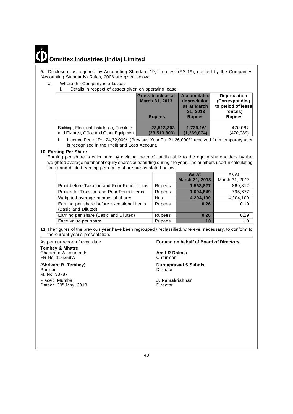**9.** Disclosure as required by Accounting Standard 19, "Leases" (AS-19), notified by the Companies (Accounting Standards) Rules, 2006 are given below:

#### a. Where the Company is a lessor:

i. Details in respect of assets given on operating lease:

|                                              | <b>Gross block as at</b><br><b>March 31, 2013</b><br><b>Rupees</b> | <b>Accumulated</b><br>depreciation<br>as at March<br>31, 2013<br><b>Rupees</b> | <b>Depreciation</b><br>(Corresponding<br>to period of lease<br>rentals)<br><b>Rupees</b> |
|----------------------------------------------|--------------------------------------------------------------------|--------------------------------------------------------------------------------|------------------------------------------------------------------------------------------|
| Building, Electrical Installation, Furniture | 23,513,303                                                         | 1,739,161                                                                      | 470.087                                                                                  |
| and Fixtures, Office and Other Equipment     | (23, 513, 303)                                                     | (1, 269, 074)                                                                  | (470,089)                                                                                |

i. Licence Fee of Rs. 24,72,000/- (Previous Year Rs. 21,36,000/-) received from temporary user is recognized in the Profit and Loss Account.

#### **10. Earning Per Share**

Earning per share is calculated by dividing the profit attributable to the equity shareholders by the weighted average number of equity shares outstanding during the year. The numbers used in calculating basic and diluted earning per equity share are as stated below:

|                                                                   |        | As At                 | As At          |
|-------------------------------------------------------------------|--------|-----------------------|----------------|
|                                                                   |        | <b>March 31, 2013</b> | March 31, 2012 |
| Profit before Taxation and Prior Period Items                     | Rupees | 1,563,827             | 869,812        |
| Profit after Taxation and Prior Period Items                      | Rupees | 1,094,849             | 795,677        |
| Weighted average number of shares                                 | Nos.   | 4,204,100             | 4,204,100      |
| Earning per share before exceptional items<br>(Basic and Diluted) | Rupees | 0.26                  | 0.19           |
| Earning per share (Basic and Diluted)                             | Rupees | 0.26                  | 0.19           |
| Face value per share                                              | Rupees | 10                    | 10             |

**11**. The figures of the previous year have been regrouped / reclassified, wherever necessary, to conform to the current year's presentation.

**Tembey & Mhatre** Chartered Accountants **Amit R Dalmia** FR No. 116359W

### Partner M. No. 33787

Place : Mumbai **J. Ramakrishnan** Dated: 30<sup>th</sup> May, 2013 **Director** 

#### As per our report of even date **For and on behalf of Board of Directors**

**(Shrikant B. Tembey) Durgaprasad S Sabnis**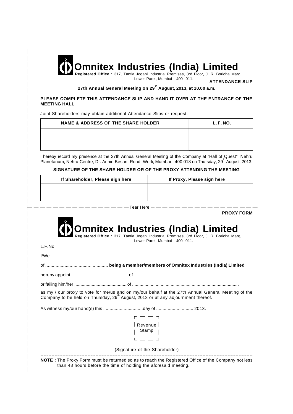

Lower Parel, Mumbai - 400 011.

#### **27th Annual General Meeting on 29th August, 2013, at 10.00 a.m.**

#### **PLEASE COMPLETE THIS ATTENDANCE SLIP AND HAND IT OVER AT THE ENTRANCE OF THE MEETING HALL**

Joint Shareholders may obtain additional Attendance Slips or request.

| <b>NAME &amp; ADDRESS OF THE SHARE HOLDER</b> | <b>L.F.NO.</b> |
|-----------------------------------------------|----------------|
|                                               |                |
|                                               |                |

I hereby record my presence at the 27th Annual General Meeting of the Company at "Hall of Quest", Nehru Planetarium, Nehru Centre, Dr. Annie Besant Road, Worli, Mumbai - 400 018 on Thursday, 29<sup>th</sup> August, 2013.

**SIGNATURE OF THE SHARE HOLDER OR OF THE PROXY ATTENDING THE MEETING**

| If Shareholder, Please sign here | If Proxy, Please sign here |
|----------------------------------|----------------------------|
|                                  |                            |
|                                  |                            |

 $- --$  Tear Here  $--$ 

**PROXY FORM**

**ATTENDANCE SLIP**

## **Omnitex Industries (India) Limited**

**Registered Office :** 317, Tantia Jogani Industrial Premises, 3rd Floor, J. R. Boricha Marg, Lower Parel, Mumbai - 400 011.

| L.F.No. |                                                                                                                                                                                                    |
|---------|----------------------------------------------------------------------------------------------------------------------------------------------------------------------------------------------------|
|         |                                                                                                                                                                                                    |
|         |                                                                                                                                                                                                    |
|         |                                                                                                                                                                                                    |
|         |                                                                                                                                                                                                    |
|         | as my / our proxy to vote for me/us and on my/our behalf at the 27th Annual General Meeting of the<br>Company to be held on Thursday, 29 <sup>th</sup> August, 2013 or at any adjournment thereof. |
|         |                                                                                                                                                                                                    |
|         | ᆮ ㅡ ㄱ                                                                                                                                                                                              |
|         | Revenue                                                                                                                                                                                            |
|         | Stamp <sub>I</sub>                                                                                                                                                                                 |
|         | $L = -1$                                                                                                                                                                                           |
|         | (Signature of the Shareholder)                                                                                                                                                                     |
|         | <b>NOTE</b> : The Proxy Form must be returned so as to reach the Registered Office of the Company not less<br>than 48 hours before the time of holding the aforesaid meeting.                      |
|         |                                                                                                                                                                                                    |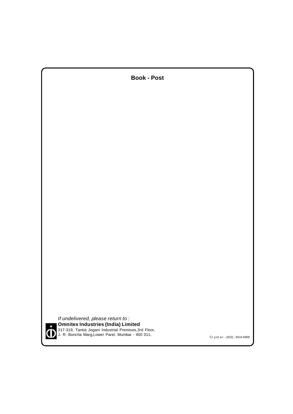